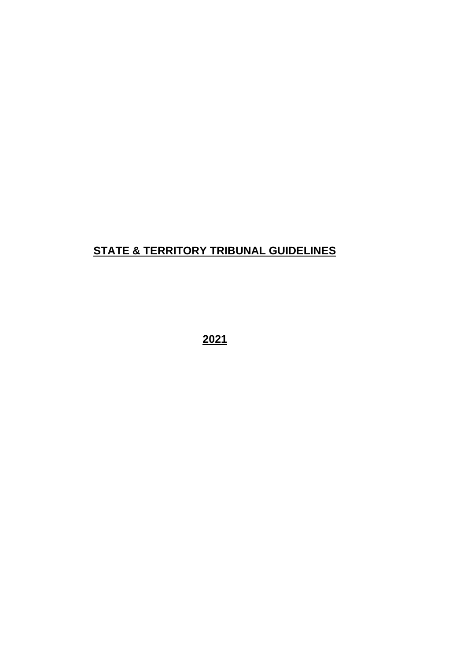# **STATE & TERRITORY TRIBUNAL GUIDELINES**

**2021**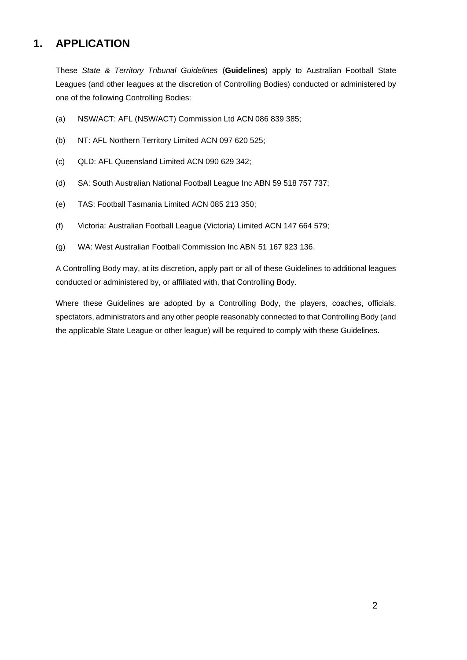# **1. APPLICATION**

These *State & Territory Tribunal Guidelines* (**Guidelines**) apply to Australian Football State Leagues (and other leagues at the discretion of Controlling Bodies) conducted or administered by one of the following Controlling Bodies:

- (a) NSW/ACT: AFL (NSW/ACT) Commission Ltd ACN 086 839 385;
- (b) NT: AFL Northern Territory Limited ACN 097 620 525;
- (c) QLD: AFL Queensland Limited ACN 090 629 342;
- (d) SA: South Australian National Football League Inc ABN 59 518 757 737;
- (e) TAS: Football Tasmania Limited ACN 085 213 350;
- (f) Victoria: Australian Football League (Victoria) Limited ACN 147 664 579;
- (g) WA: West Australian Football Commission Inc ABN 51 167 923 136.

A Controlling Body may, at its discretion, apply part or all of these Guidelines to additional leagues conducted or administered by, or affiliated with, that Controlling Body.

Where these Guidelines are adopted by a Controlling Body, the players, coaches, officials, spectators, administrators and any other people reasonably connected to that Controlling Body (and the applicable State League or other league) will be required to comply with these Guidelines.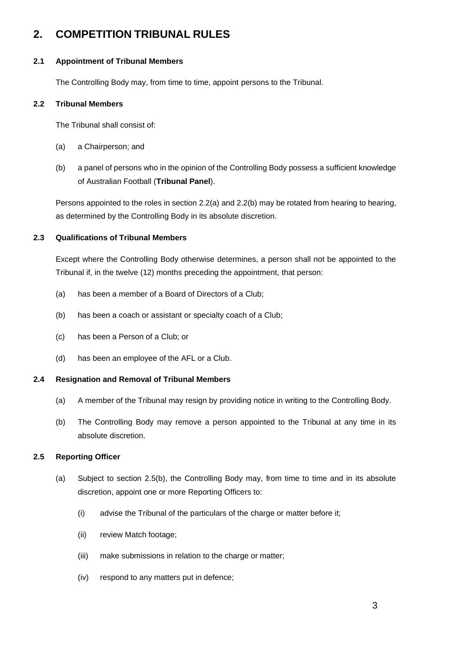# <span id="page-2-2"></span>**2. COMPETITION TRIBUNAL RULES**

### **2.1 Appointment of Tribunal Members**

The Controlling Body may, from time to time, appoint persons to the Tribunal.

### **2.2 Tribunal Members**

The Tribunal shall consist of:

- <span id="page-2-0"></span>(a) a Chairperson; and
- <span id="page-2-1"></span>(b) a panel of persons who in the opinion of the Controlling Body possess a sufficient knowledge of Australian Football (**Tribunal Panel**).

Persons appointed to the roles in sectio[n 2.2\(a\)](#page-2-0) an[d 2.2\(b\)](#page-2-1) may be rotated from hearing to hearing, as determined by the Controlling Body in its absolute discretion.

# **2.3 Qualifications of Tribunal Members**

Except where the Controlling Body otherwise determines, a person shall not be appointed to the Tribunal if, in the twelve (12) months preceding the appointment, that person:

- (a) has been a member of a Board of Directors of a Club;
- (b) has been a coach or assistant or specialty coach of a Club;
- (c) has been a Person of a Club; or
- (d) has been an employee of the AFL or a Club.

# **2.4 Resignation and Removal of Tribunal Members**

- (a) A member of the Tribunal may resign by providing notice in writing to the Controlling Body.
- (b) The Controlling Body may remove a person appointed to the Tribunal at any time in its absolute discretion.

# **2.5 Reporting Officer**

- (a) Subject to section [2.5\(b\),](#page-3-0) the Controlling Body may, from time to time and in its absolute discretion, appoint one or more Reporting Officers to:
	- (i) advise the Tribunal of the particulars of the charge or matter before it;
	- (ii) review Match footage;
	- (iii) make submissions in relation to the charge or matter;
	- (iv) respond to any matters put in defence;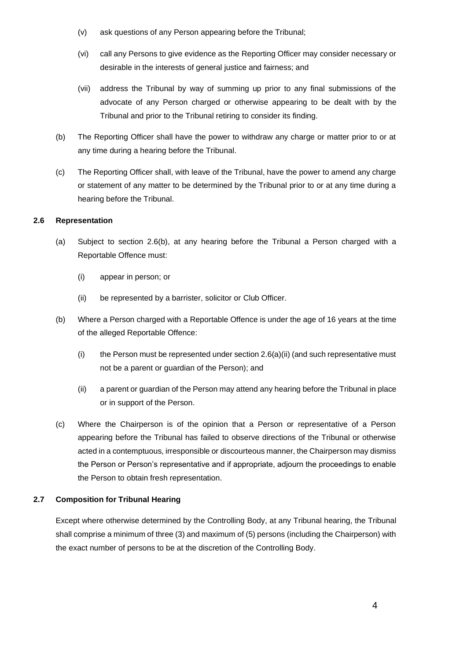- (v) ask questions of any Person appearing before the Tribunal;
- (vi) call any Persons to give evidence as the Reporting Officer may consider necessary or desirable in the interests of general justice and fairness; and
- (vii) address the Tribunal by way of summing up prior to any final submissions of the advocate of any Person charged or otherwise appearing to be dealt with by the Tribunal and prior to the Tribunal retiring to consider its finding.
- <span id="page-3-0"></span>(b) The Reporting Officer shall have the power to withdraw any charge or matter prior to or at any time during a hearing before the Tribunal.
- (c) The Reporting Officer shall, with leave of the Tribunal, have the power to amend any charge or statement of any matter to be determined by the Tribunal prior to or at any time during a hearing before the Tribunal.

#### **2.6 Representation**

- (a) Subject to section 2.6(b), at any hearing before the Tribunal a Person charged with a Reportable Offence must:
	- (i) appear in person; or
	- (ii) be represented by a barrister, solicitor or Club Officer.
- (b) Where a Person charged with a Reportable Offence is under the age of 16 years at the time of the alleged Reportable Offence:
	- (i) the Person must be represented under section  $2.6(a)(ii)$  (and such representative must not be a parent or guardian of the Person); and
	- (ii) a parent or guardian of the Person may attend any hearing before the Tribunal in place or in support of the Person.
- (c) Where the Chairperson is of the opinion that a Person or representative of a Person appearing before the Tribunal has failed to observe directions of the Tribunal or otherwise acted in a contemptuous, irresponsible or discourteous manner, the Chairperson may dismiss the Person or Person's representative and if appropriate, adjourn the proceedings to enable the Person to obtain fresh representation.

#### **2.7 Composition for Tribunal Hearing**

Except where otherwise determined by the Controlling Body, at any Tribunal hearing, the Tribunal shall comprise a minimum of three (3) and maximum of (5) persons (including the Chairperson) with the exact number of persons to be at the discretion of the Controlling Body.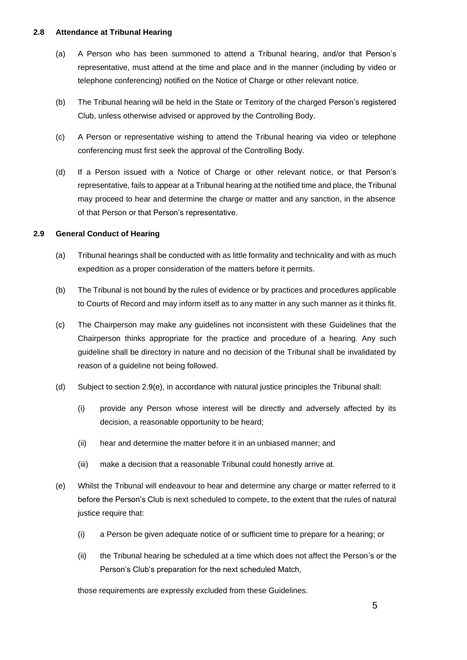#### **2.8 Attendance at Tribunal Hearing**

- (a) A Person who has been summoned to attend a Tribunal hearing, and/or that Person's representative, must attend at the time and place and in the manner (including by video or telephone conferencing) notified on the Notice of Charge or other relevant notice.
- (b) The Tribunal hearing will be held in the State or Territory of the charged Person's registered Club, unless otherwise advised or approved by the Controlling Body.
- (c) A Person or representative wishing to attend the Tribunal hearing via video or telephone conferencing must first seek the approval of the Controlling Body.
- (d) If a Person issued with a Notice of Charge or other relevant notice, or that Person's representative, fails to appear at a Tribunal hearing at the notified time and place, the Tribunal may proceed to hear and determine the charge or matter and any sanction, in the absence of that Person or that Person's representative.

# <span id="page-4-1"></span>**2.9 General Conduct of Hearing**

- (a) Tribunal hearings shall be conducted with as little formality and technicality and with as much expedition as a proper consideration of the matters before it permits.
- (b) The Tribunal is not bound by the rules of evidence or by practices and procedures applicable to Courts of Record and may inform itself as to any matter in any such manner as it thinks fit.
- (c) The Chairperson may make any guidelines not inconsistent with these Guidelines that the Chairperson thinks appropriate for the practice and procedure of a hearing. Any such guideline shall be directory in nature and no decision of the Tribunal shall be invalidated by reason of a guideline not being followed.
- (d) Subject to section [2.9\(e\),](#page-4-0) in accordance with natural justice principles the Tribunal shall:
	- (i) provide any Person whose interest will be directly and adversely affected by its decision, a reasonable opportunity to be heard;
	- (ii) hear and determine the matter before it in an unbiased manner; and
	- (iii) make a decision that a reasonable Tribunal could honestly arrive at.
- <span id="page-4-0"></span>(e) Whilst the Tribunal will endeavour to hear and determine any charge or matter referred to it before the Person's Club is next scheduled to compete, to the extent that the rules of natural justice require that:
	- (i) a Person be given adequate notice of or sufficient time to prepare for a hearing; or
	- (ii) the Tribunal hearing be scheduled at a time which does not affect the Person's or the Person's Club's preparation for the next scheduled Match,

those requirements are expressly excluded from these Guidelines.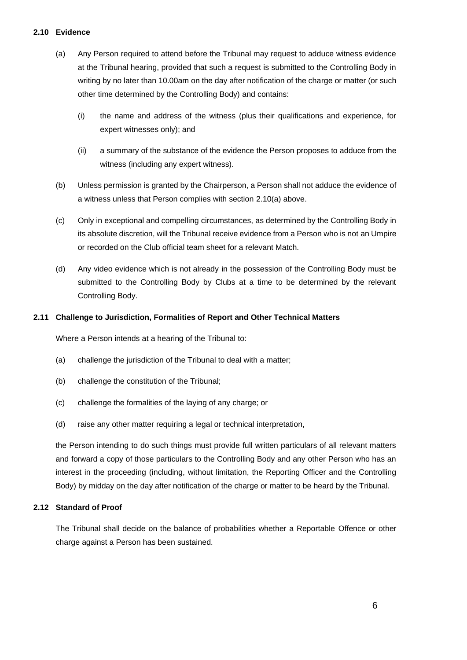#### <span id="page-5-0"></span>**2.10 Evidence**

- (a) Any Person required to attend before the Tribunal may request to adduce witness evidence at the Tribunal hearing, provided that such a request is submitted to the Controlling Body in writing by no later than 10.00am on the day after notification of the charge or matter (or such other time determined by the Controlling Body) and contains:
	- (i) the name and address of the witness (plus their qualifications and experience, for expert witnesses only); and
	- (ii) a summary of the substance of the evidence the Person proposes to adduce from the witness (including any expert witness).
- (b) Unless permission is granted by the Chairperson, a Person shall not adduce the evidence of a witness unless that Person complies with section [2.10\(a\)](#page-5-0) above.
- (c) Only in exceptional and compelling circumstances, as determined by the Controlling Body in its absolute discretion, will the Tribunal receive evidence from a Person who is not an Umpire or recorded on the Club official team sheet for a relevant Match.
- (d) Any video evidence which is not already in the possession of the Controlling Body must be submitted to the Controlling Body by Clubs at a time to be determined by the relevant Controlling Body.

#### **2.11 Challenge to Jurisdiction, Formalities of Report and Other Technical Matters**

Where a Person intends at a hearing of the Tribunal to:

- (a) challenge the jurisdiction of the Tribunal to deal with a matter;
- (b) challenge the constitution of the Tribunal;
- (c) challenge the formalities of the laying of any charge; or
- (d) raise any other matter requiring a legal or technical interpretation,

the Person intending to do such things must provide full written particulars of all relevant matters and forward a copy of those particulars to the Controlling Body and any other Person who has an interest in the proceeding (including, without limitation, the Reporting Officer and the Controlling Body) by midday on the day after notification of the charge or matter to be heard by the Tribunal.

#### <span id="page-5-1"></span>**2.12 Standard of Proof**

The Tribunal shall decide on the balance of probabilities whether a Reportable Offence or other charge against a Person has been sustained.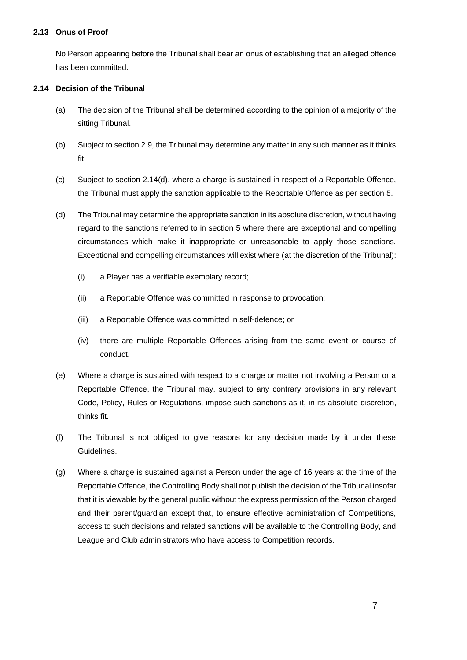#### <span id="page-6-1"></span>**2.13 Onus of Proof**

No Person appearing before the Tribunal shall bear an onus of establishing that an alleged offence has been committed.

### **2.14 Decision of the Tribunal**

- (a) The decision of the Tribunal shall be determined according to the opinion of a majority of the sitting Tribunal.
- (b) Subject to sectio[n 2.9,](#page-4-1) the Tribunal may determine any matter in any such manner as it thinks fit.
- (c) Subject to section [2.14\(d\),](#page-6-0) where a charge is sustained in respect of a Reportable Offence, the Tribunal must apply the sanction applicable to the Reportable Offence as per section [5.](#page-21-0)
- <span id="page-6-2"></span><span id="page-6-0"></span>(d) The Tribunal may determine the appropriate sanction in its absolute discretion, without having regard to the sanctions referred to in section [5](#page-21-0) where there are exceptional and compelling circumstances which make it inappropriate or unreasonable to apply those sanctions. Exceptional and compelling circumstances will exist where (at the discretion of the Tribunal):
	- (i) a Player has a verifiable exemplary record;
	- (ii) a Reportable Offence was committed in response to provocation;
	- (iii) a Reportable Offence was committed in self-defence; or
	- (iv) there are multiple Reportable Offences arising from the same event or course of conduct.
- (e) Where a charge is sustained with respect to a charge or matter not involving a Person or a Reportable Offence, the Tribunal may, subject to any contrary provisions in any relevant Code, Policy, Rules or Regulations, impose such sanctions as it, in its absolute discretion, thinks fit.
- (f) The Tribunal is not obliged to give reasons for any decision made by it under these Guidelines.
- (g) Where a charge is sustained against a Person under the age of 16 years at the time of the Reportable Offence, the Controlling Body shall not publish the decision of the Tribunal insofar that it is viewable by the general public without the express permission of the Person charged and their parent/guardian except that, to ensure effective administration of Competitions, access to such decisions and related sanctions will be available to the Controlling Body, and League and Club administrators who have access to Competition records.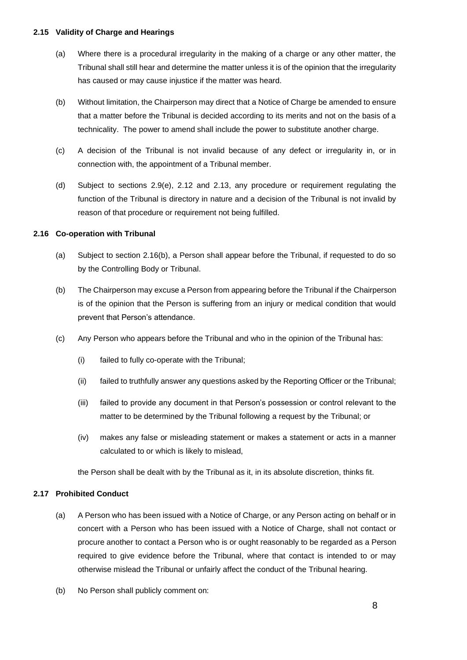#### **2.15 Validity of Charge and Hearings**

- (a) Where there is a procedural irregularity in the making of a charge or any other matter, the Tribunal shall still hear and determine the matter unless it is of the opinion that the irregularity has caused or may cause injustice if the matter was heard.
- (b) Without limitation, the Chairperson may direct that a Notice of Charge be amended to ensure that a matter before the Tribunal is decided according to its merits and not on the basis of a technicality. The power to amend shall include the power to substitute another charge.
- (c) A decision of the Tribunal is not invalid because of any defect or irregularity in, or in connection with, the appointment of a Tribunal member.
- (d) Subject to sections [2.9\(e\),](#page-4-0) [2.12](#page-5-1) and [2.13,](#page-6-1) any procedure or requirement regulating the function of the Tribunal is directory in nature and a decision of the Tribunal is not invalid by reason of that procedure or requirement not being fulfilled.

#### **2.16 Co-operation with Tribunal**

- (a) Subject to section [2.16\(b\),](#page-7-0) a Person shall appear before the Tribunal, if requested to do so by the Controlling Body or Tribunal.
- <span id="page-7-0"></span>(b) The Chairperson may excuse a Person from appearing before the Tribunal if the Chairperson is of the opinion that the Person is suffering from an injury or medical condition that would prevent that Person's attendance.
- (c) Any Person who appears before the Tribunal and who in the opinion of the Tribunal has:
	- (i) failed to fully co-operate with the Tribunal;
	- (ii) failed to truthfully answer any questions asked by the Reporting Officer or the Tribunal;
	- (iii) failed to provide any document in that Person's possession or control relevant to the matter to be determined by the Tribunal following a request by the Tribunal; or
	- (iv) makes any false or misleading statement or makes a statement or acts in a manner calculated to or which is likely to mislead,

the Person shall be dealt with by the Tribunal as it, in its absolute discretion, thinks fit.

# <span id="page-7-1"></span>**2.17 Prohibited Conduct**

- (a) A Person who has been issued with a Notice of Charge, or any Person acting on behalf or in concert with a Person who has been issued with a Notice of Charge, shall not contact or procure another to contact a Person who is or ought reasonably to be regarded as a Person required to give evidence before the Tribunal, where that contact is intended to or may otherwise mislead the Tribunal or unfairly affect the conduct of the Tribunal hearing.
- (b) No Person shall publicly comment on: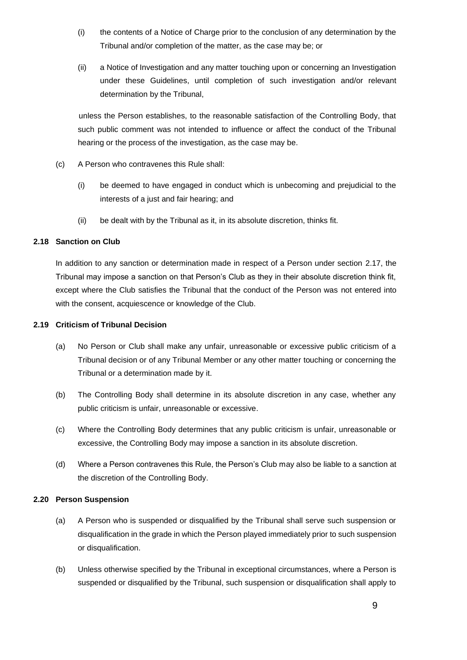- (i) the contents of a Notice of Charge prior to the conclusion of any determination by the Tribunal and/or completion of the matter, as the case may be; or
- (ii) a Notice of Investigation and any matter touching upon or concerning an Investigation under these Guidelines, until completion of such investigation and/or relevant determination by the Tribunal,

unless the Person establishes, to the reasonable satisfaction of the Controlling Body, that such public comment was not intended to influence or affect the conduct of the Tribunal hearing or the process of the investigation, as the case may be.

- (c) A Person who contravenes this Rule shall:
	- (i) be deemed to have engaged in conduct which is unbecoming and prejudicial to the interests of a just and fair hearing; and
	- (ii) be dealt with by the Tribunal as it, in its absolute discretion, thinks fit.

#### **2.18 Sanction on Club**

In addition to any sanction or determination made in respect of a Person under section [2.17,](#page-7-1) the Tribunal may impose a sanction on that Person's Club as they in their absolute discretion think fit, except where the Club satisfies the Tribunal that the conduct of the Person was not entered into with the consent, acquiescence or knowledge of the Club.

#### **2.19 Criticism of Tribunal Decision**

- (a) No Person or Club shall make any unfair, unreasonable or excessive public criticism of a Tribunal decision or of any Tribunal Member or any other matter touching or concerning the Tribunal or a determination made by it.
- (b) The Controlling Body shall determine in its absolute discretion in any case, whether any public criticism is unfair, unreasonable or excessive.
- (c) Where the Controlling Body determines that any public criticism is unfair, unreasonable or excessive, the Controlling Body may impose a sanction in its absolute discretion.
- (d) Where a Person contravenes this Rule, the Person's Club may also be liable to a sanction at the discretion of the Controlling Body.

#### **2.20 Person Suspension**

- (a) A Person who is suspended or disqualified by the Tribunal shall serve such suspension or disqualification in the grade in which the Person played immediately prior to such suspension or disqualification.
- (b) Unless otherwise specified by the Tribunal in exceptional circumstances, where a Person is suspended or disqualified by the Tribunal, such suspension or disqualification shall apply to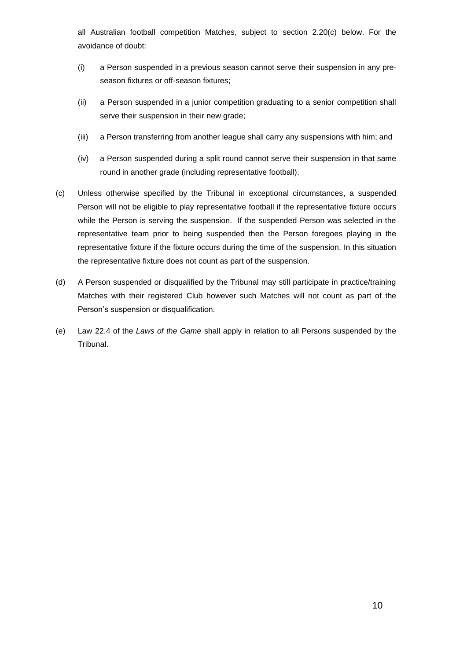all Australian football competition Matches, subject to section [2.20\(c\)](#page-9-0) below. For the avoidance of doubt:

- (i) a Person suspended in a previous season cannot serve their suspension in any preseason fixtures or off-season fixtures;
- (ii) a Person suspended in a junior competition graduating to a senior competition shall serve their suspension in their new grade;
- (iii) a Person transferring from another league shall carry any suspensions with him; and
- (iv) a Person suspended during a split round cannot serve their suspension in that same round in another grade (including representative football).
- <span id="page-9-0"></span>(c) Unless otherwise specified by the Tribunal in exceptional circumstances, a suspended Person will not be eligible to play representative football if the representative fixture occurs while the Person is serving the suspension. If the suspended Person was selected in the representative team prior to being suspended then the Person foregoes playing in the representative fixture if the fixture occurs during the time of the suspension. In this situation the representative fixture does not count as part of the suspension.
- (d) A Person suspended or disqualified by the Tribunal may still participate in practice/training Matches with their registered Club however such Matches will not count as part of the Person's suspension or disqualification.
- (e) Law 22.4 of the *Laws of the Game* shall apply in relation to all Persons suspended by the Tribunal.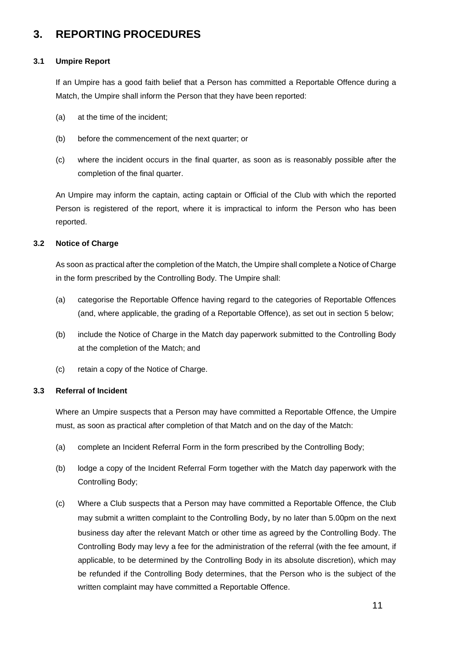# **3. REPORTING PROCEDURES**

# **3.1 Umpire Report**

If an Umpire has a good faith belief that a Person has committed a Reportable Offence during a Match, the Umpire shall inform the Person that they have been reported:

- (a) at the time of the incident;
- (b) before the commencement of the next quarter; or
- (c) where the incident occurs in the final quarter, as soon as is reasonably possible after the completion of the final quarter.

An Umpire may inform the captain, acting captain or Official of the Club with which the reported Person is registered of the report, where it is impractical to inform the Person who has been reported.

# **3.2 Notice of Charge**

As soon as practical after the completion of the Match, the Umpire shall complete a Notice of Charge in the form prescribed by the Controlling Body. The Umpire shall:

- (a) categorise the Reportable Offence having regard to the categories of Reportable Offences (and, where applicable, the grading of a Reportable Offence), as set out in section [5](#page-21-0) below;
- (b) include the Notice of Charge in the Match day paperwork submitted to the Controlling Body at the completion of the Match; and
- (c) retain a copy of the Notice of Charge.

# **3.3 Referral of Incident**

Where an Umpire suspects that a Person may have committed a Reportable Offence, the Umpire must, as soon as practical after completion of that Match and on the day of the Match:

- (a) complete an Incident Referral Form in the form prescribed by the Controlling Body;
- (b) lodge a copy of the Incident Referral Form together with the Match day paperwork with the Controlling Body;
- <span id="page-10-0"></span>(c) Where a Club suspects that a Person may have committed a Reportable Offence, the Club may submit a written complaint to the Controlling Body, by no later than 5.00pm on the next business day after the relevant Match or other time as agreed by the Controlling Body. The Controlling Body may levy a fee for the administration of the referral (with the fee amount, if applicable, to be determined by the Controlling Body in its absolute discretion), which may be refunded if the Controlling Body determines, that the Person who is the subject of the written complaint may have committed a Reportable Offence.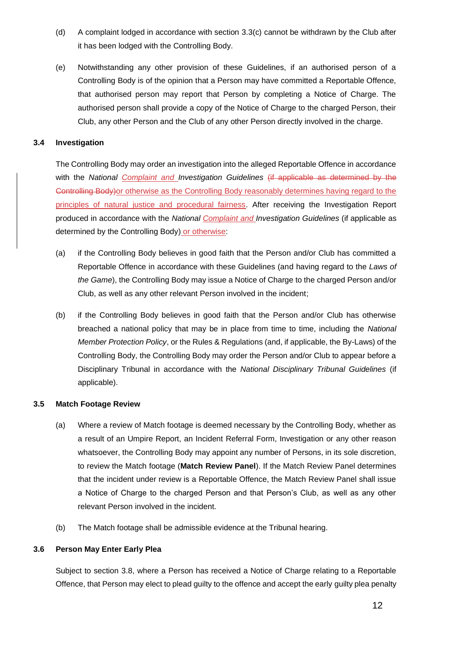- (d) A complaint lodged in accordance with section [3.3\(c\)](#page-10-0) cannot be withdrawn by the Club after it has been lodged with the Controlling Body.
- (e) Notwithstanding any other provision of these Guidelines, if an authorised person of a Controlling Body is of the opinion that a Person may have committed a Reportable Offence, that authorised person may report that Person by completing a Notice of Charge. The authorised person shall provide a copy of the Notice of Charge to the charged Person, their Club, any other Person and the Club of any other Person directly involved in the charge.

#### **3.4 Investigation**

The Controlling Body may order an investigation into the alleged Reportable Offence in accordance with the *National Complaint and Investigation Guidelines* (if applicable as determined by the Controlling Body)or otherwise as the Controlling Body reasonably determines having regard to the principles of natural justice and procedural fairness. After receiving the Investigation Report produced in accordance with the *National Complaint and Investigation Guidelines* (if applicable as determined by the Controlling Body) or otherwise:

- (a) if the Controlling Body believes in good faith that the Person and/or Club has committed a Reportable Offence in accordance with these Guidelines (and having regard to the *Laws of the Game*), the Controlling Body may issue a Notice of Charge to the charged Person and/or Club, as well as any other relevant Person involved in the incident;
- (b) if the Controlling Body believes in good faith that the Person and/or Club has otherwise breached a national policy that may be in place from time to time, including the *National Member Protection Policy*, or the Rules & Regulations (and, if applicable, the By-Laws) of the Controlling Body, the Controlling Body may order the Person and/or Club to appear before a Disciplinary Tribunal in accordance with the *National Disciplinary Tribunal Guidelines* (if applicable).

#### **3.5 Match Footage Review**

- (a) Where a review of Match footage is deemed necessary by the Controlling Body, whether as a result of an Umpire Report, an Incident Referral Form, Investigation or any other reason whatsoever, the Controlling Body may appoint any number of Persons, in its sole discretion, to review the Match footage (**Match Review Panel**). If the Match Review Panel determines that the incident under review is a Reportable Offence, the Match Review Panel shall issue a Notice of Charge to the charged Person and that Person's Club, as well as any other relevant Person involved in the incident.
- (b) The Match footage shall be admissible evidence at the Tribunal hearing.

#### <span id="page-11-0"></span>**3.6 Person May Enter Early Plea**

Subject to section [3.8,](#page-12-0) where a Person has received a Notice of Charge relating to a Reportable Offence, that Person may elect to plead guilty to the offence and accept the early guilty plea penalty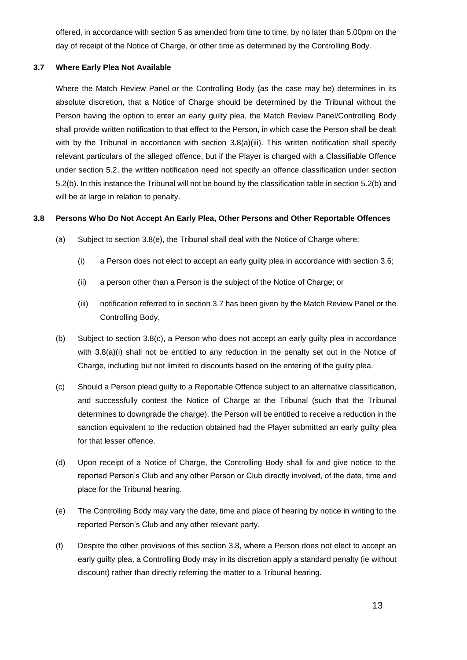offered, in accordance with section 5 as amended from time to time, by no later than 5.00pm on the day of receipt of the Notice of Charge, or other time as determined by the Controlling Body.

# <span id="page-12-3"></span>**3.7 Where Early Plea Not Available**

Where the Match Review Panel or the Controlling Body (as the case may be) determines in its absolute discretion, that a Notice of Charge should be determined by the Tribunal without the Person having the option to enter an early guilty plea, the Match Review Panel/Controlling Body shall provide written notification to that effect to the Person, in which case the Person shall be dealt with by the Tribunal in accordance with section [3.8\(a\)\(iii\).](#page-12-1) This written notification shall specify relevant particulars of the alleged offence, but if the Player is charged with a Classifiable Offence under section [5.2,](#page-21-1) the written notification need not specify an offence classification under section [5.2\(b\).](#page-22-0) In this instance the Tribunal will not be bound by the classification table in section [5.2\(b\)](#page-22-0) and will be at large in relation to penalty.

# <span id="page-12-0"></span>**3.8 Persons Who Do Not Accept An Early Plea, Other Persons and Other Reportable Offences**

- <span id="page-12-5"></span>(a) Subject to section  $3.8(e)$ , the Tribunal shall deal with the Notice of Charge where:
	- (i) a Person does not elect to accept an early guilty plea in accordance with section [3.6;](#page-11-0)
	- (ii) a person other than a Person is the subject of the Notice of Charge; or
	- (iii) notification referred to in section [3.7](#page-12-3) has been given by the Match Review Panel or the Controlling Body.
- <span id="page-12-1"></span>(b) Subject to section [3.8\(c\),](#page-12-4) a Person who does not accept an early guilty plea in accordance with [3.8\(a\)\(i\)](#page-12-5) shall not be entitled to any reduction in the penalty set out in the Notice of Charge, including but not limited to discounts based on the entering of the guilty plea.
- <span id="page-12-4"></span>(c) Should a Person plead guilty to a Reportable Offence subject to an alternative classification, and successfully contest the Notice of Charge at the Tribunal (such that the Tribunal determines to downgrade the charge), the Person will be entitled to receive a reduction in the sanction equivalent to the reduction obtained had the Player submitted an early guilty plea for that lesser offence.
- (d) Upon receipt of a Notice of Charge, the Controlling Body shall fix and give notice to the reported Person's Club and any other Person or Club directly involved, of the date, time and place for the Tribunal hearing.
- <span id="page-12-2"></span>(e) The Controlling Body may vary the date, time and place of hearing by notice in writing to the reported Person's Club and any other relevant party.
- (f) Despite the other provisions of this section [3.8,](#page-12-0) where a Person does not elect to accept an early guilty plea, a Controlling Body may in its discretion apply a standard penalty (ie without discount) rather than directly referring the matter to a Tribunal hearing.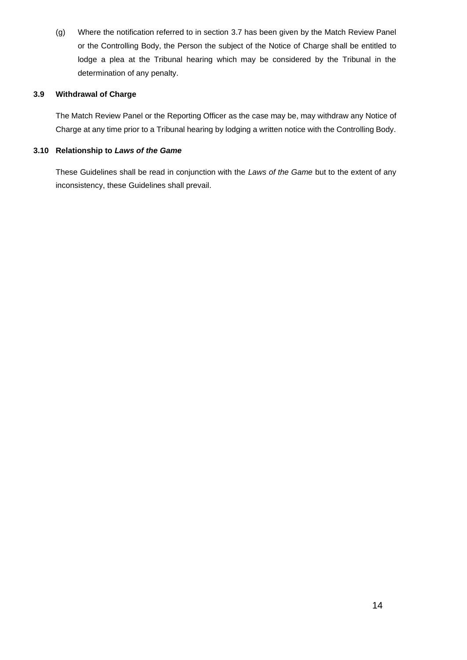(g) Where the notification referred to in section [3.7](#page-12-3) has been given by the Match Review Panel or the Controlling Body, the Person the subject of the Notice of Charge shall be entitled to lodge a plea at the Tribunal hearing which may be considered by the Tribunal in the determination of any penalty.

# **3.9 Withdrawal of Charge**

The Match Review Panel or the Reporting Officer as the case may be, may withdraw any Notice of Charge at any time prior to a Tribunal hearing by lodging a written notice with the Controlling Body.

# **3.10 Relationship to** *Laws of the Game*

These Guidelines shall be read in conjunction with the *Laws of the Game* but to the extent of any inconsistency, these Guidelines shall prevail.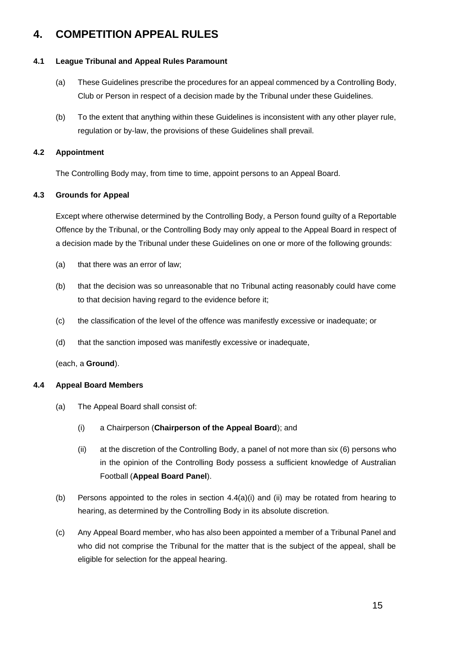# **4. COMPETITION APPEAL RULES**

### **4.1 League Tribunal and Appeal Rules Paramount**

- (a) These Guidelines prescribe the procedures for an appeal commenced by a Controlling Body, Club or Person in respect of a decision made by the Tribunal under these Guidelines.
- (b) To the extent that anything within these Guidelines is inconsistent with any other player rule, regulation or by-law, the provisions of these Guidelines shall prevail.

# **4.2 Appointment**

The Controlling Body may, from time to time, appoint persons to an Appeal Board.

# <span id="page-14-2"></span>**4.3 Grounds for Appeal**

Except where otherwise determined by the Controlling Body, a Person found guilty of a Reportable Offence by the Tribunal, or the Controlling Body may only appeal to the Appeal Board in respect of a decision made by the Tribunal under these Guidelines on one or more of the following grounds:

- (a) that there was an error of law;
- (b) that the decision was so unreasonable that no Tribunal acting reasonably could have come to that decision having regard to the evidence before it;
- (c) the classification of the level of the offence was manifestly excessive or inadequate; or
- (d) that the sanction imposed was manifestly excessive or inadequate,

(each, a **Ground**).

#### **4.4 Appeal Board Members**

- <span id="page-14-1"></span><span id="page-14-0"></span>(a) The Appeal Board shall consist of:
	- (i) a Chairperson (**Chairperson of the Appeal Board**); and
	- (ii) at the discretion of the Controlling Body, a panel of not more than six (6) persons who in the opinion of the Controlling Body possess a sufficient knowledge of Australian Football (**Appeal Board Panel**).
- (b) Persons appointed to the roles in section  $4.4(a)(i)$  and [\(ii\)](#page-14-1) may be rotated from hearing to hearing, as determined by the Controlling Body in its absolute discretion.
- (c) Any Appeal Board member, who has also been appointed a member of a Tribunal Panel and who did not comprise the Tribunal for the matter that is the subject of the appeal, shall be eligible for selection for the appeal hearing.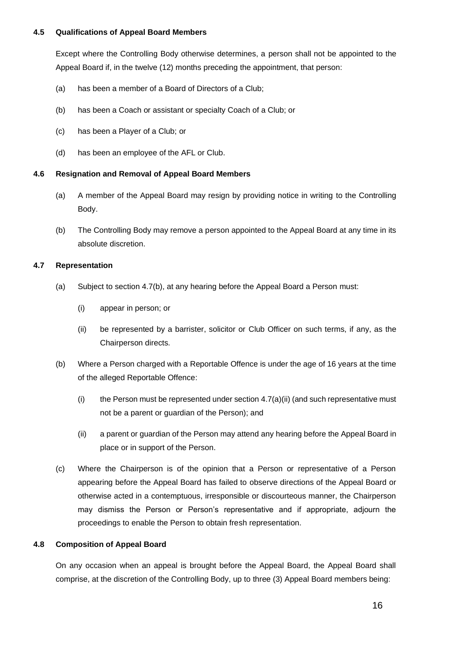#### **4.5 Qualifications of Appeal Board Members**

Except where the Controlling Body otherwise determines, a person shall not be appointed to the Appeal Board if, in the twelve (12) months preceding the appointment, that person:

- (a) has been a member of a Board of Directors of a Club;
- (b) has been a Coach or assistant or specialty Coach of a Club; or
- (c) has been a Player of a Club; or
- (d) has been an employee of the AFL or Club.

# **4.6 Resignation and Removal of Appeal Board Members**

- (a) A member of the Appeal Board may resign by providing notice in writing to the Controlling Body.
- (b) The Controlling Body may remove a person appointed to the Appeal Board at any time in its absolute discretion.

#### **4.7 Representation**

- (a) Subject to section [4.7\(b\),](#page-15-0) at any hearing before the Appeal Board a Person must:
	- (i) appear in person; or
	- (ii) be represented by a barrister, solicitor or Club Officer on such terms, if any, as the Chairperson directs.
- <span id="page-15-0"></span>(b) Where a Person charged with a Reportable Offence is under the age of 16 years at the time of the alleged Reportable Offence:
	- (i) the Person must be represented under section  $4.7(a)(ii)$  (and such representative must not be a parent or guardian of the Person); and
	- (ii) a parent or guardian of the Person may attend any hearing before the Appeal Board in place or in support of the Person.
- (c) Where the Chairperson is of the opinion that a Person or representative of a Person appearing before the Appeal Board has failed to observe directions of the Appeal Board or otherwise acted in a contemptuous, irresponsible or discourteous manner, the Chairperson may dismiss the Person or Person's representative and if appropriate, adjourn the proceedings to enable the Person to obtain fresh representation.

#### **4.8 Composition of Appeal Board**

On any occasion when an appeal is brought before the Appeal Board, the Appeal Board shall comprise, at the discretion of the Controlling Body, up to three (3) Appeal Board members being: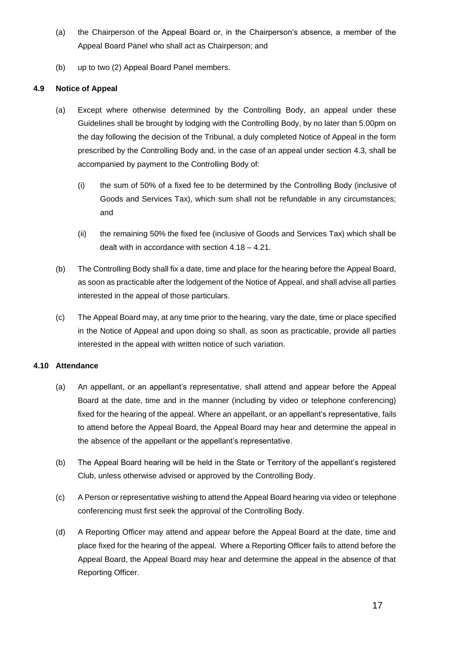- (a) the Chairperson of the Appeal Board or, in the Chairperson's absence, a member of the Appeal Board Panel who shall act as Chairperson; and
- (b) up to two (2) Appeal Board Panel members.

# <span id="page-16-1"></span>**4.9 Notice of Appeal**

- (a) Except where otherwise determined by the Controlling Body, an appeal under these Guidelines shall be brought by lodging with the Controlling Body, by no later than 5.00pm on the day following the decision of the Tribunal, a duly completed Notice of Appeal in the form prescribed by the Controlling Body and, in the case of an appeal under section [4.3,](#page-14-2) shall be accompanied by payment to the Controlling Body of:
	- (i) the sum of 50% of a fixed fee to be determined by the Controlling Body (inclusive of Goods and Services Tax), which sum shall not be refundable in any circumstances; and
	- (ii) the remaining 50% the fixed fee (inclusive of Goods and Services Tax) which shall be dealt with in accordance with sectio[n 4.18](#page-19-0) – [4.21.](#page-19-1)
- <span id="page-16-0"></span>(b) The Controlling Body shall fix a date, time and place for the hearing before the Appeal Board, as soon as practicable after the lodgement of the Notice of Appeal, and shall advise all parties interested in the appeal of those particulars.
- (c) The Appeal Board may, at any time prior to the hearing, vary the date, time or place specified in the Notice of Appeal and upon doing so shall, as soon as practicable, provide all parties interested in the appeal with written notice of such variation.

#### **4.10 Attendance**

- (a) An appellant, or an appellant's representative, shall attend and appear before the Appeal Board at the date, time and in the manner (including by video or telephone conferencing) fixed for the hearing of the appeal. Where an appellant, or an appellant's representative, fails to attend before the Appeal Board, the Appeal Board may hear and determine the appeal in the absence of the appellant or the appellant's representative.
- (b) The Appeal Board hearing will be held in the State or Territory of the appellant's registered Club, unless otherwise advised or approved by the Controlling Body.
- (c) A Person or representative wishing to attend the Appeal Board hearing via video or telephone conferencing must first seek the approval of the Controlling Body.
- (d) A Reporting Officer may attend and appear before the Appeal Board at the date, time and place fixed for the hearing of the appeal. Where a Reporting Officer fails to attend before the Appeal Board, the Appeal Board may hear and determine the appeal in the absence of that Reporting Officer.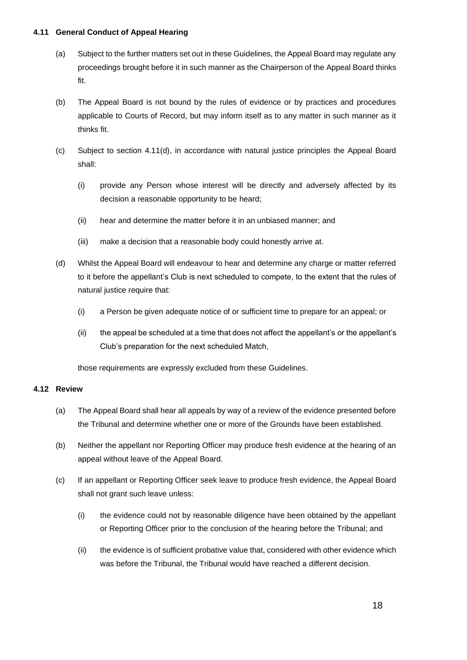#### **4.11 General Conduct of Appeal Hearing**

- (a) Subject to the further matters set out in these Guidelines, the Appeal Board may regulate any proceedings brought before it in such manner as the Chairperson of the Appeal Board thinks fit.
- (b) The Appeal Board is not bound by the rules of evidence or by practices and procedures applicable to Courts of Record, but may inform itself as to any matter in such manner as it thinks fit.
- <span id="page-17-1"></span>(c) Subject to section [4.11\(d\),](#page-17-0) in accordance with natural justice principles the Appeal Board shall:
	- (i) provide any Person whose interest will be directly and adversely affected by its decision a reasonable opportunity to be heard;
	- (ii) hear and determine the matter before it in an unbiased manner; and
	- (iii) make a decision that a reasonable body could honestly arrive at.
- <span id="page-17-0"></span>(d) Whilst the Appeal Board will endeavour to hear and determine any charge or matter referred to it before the appellant's Club is next scheduled to compete, to the extent that the rules of natural justice require that:
	- (i) a Person be given adequate notice of or sufficient time to prepare for an appeal; or
	- (ii) the appeal be scheduled at a time that does not affect the appellant's or the appellant's Club's preparation for the next scheduled Match,

those requirements are expressly excluded from these Guidelines.

#### **4.12 Review**

- (a) The Appeal Board shall hear all appeals by way of a review of the evidence presented before the Tribunal and determine whether one or more of the Grounds have been established.
- (b) Neither the appellant nor Reporting Officer may produce fresh evidence at the hearing of an appeal without leave of the Appeal Board.
- (c) If an appellant or Reporting Officer seek leave to produce fresh evidence, the Appeal Board shall not grant such leave unless:
	- (i) the evidence could not by reasonable diligence have been obtained by the appellant or Reporting Officer prior to the conclusion of the hearing before the Tribunal; and
	- (ii) the evidence is of sufficient probative value that, considered with other evidence which was before the Tribunal, the Tribunal would have reached a different decision.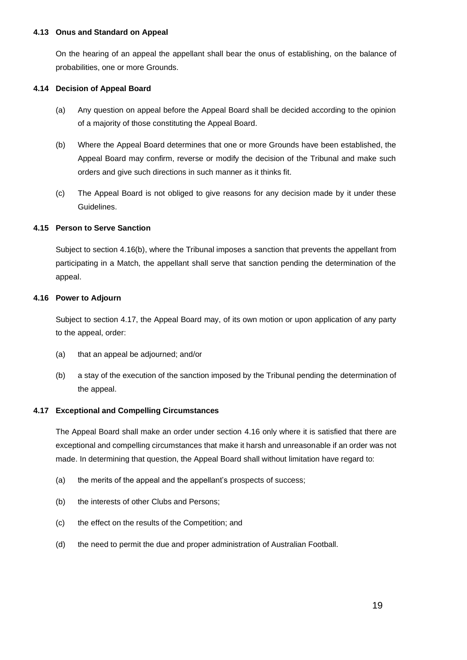#### **4.13 Onus and Standard on Appeal**

On the hearing of an appeal the appellant shall bear the onus of establishing, on the balance of probabilities, one or more Grounds.

#### **4.14 Decision of Appeal Board**

- (a) Any question on appeal before the Appeal Board shall be decided according to the opinion of a majority of those constituting the Appeal Board.
- (b) Where the Appeal Board determines that one or more Grounds have been established, the Appeal Board may confirm, reverse or modify the decision of the Tribunal and make such orders and give such directions in such manner as it thinks fit.
- (c) The Appeal Board is not obliged to give reasons for any decision made by it under these Guidelines.

# **4.15 Person to Serve Sanction**

Subject to section [4.16\(b\),](#page-18-0) where the Tribunal imposes a sanction that prevents the appellant from participating in a Match, the appellant shall serve that sanction pending the determination of the appeal.

# <span id="page-18-2"></span>**4.16 Power to Adjourn**

Subject to section [4.17,](#page-18-1) the Appeal Board may, of its own motion or upon application of any party to the appeal, order:

- (a) that an appeal be adjourned; and/or
- <span id="page-18-0"></span>(b) a stay of the execution of the sanction imposed by the Tribunal pending the determination of the appeal.

#### <span id="page-18-1"></span>**4.17 Exceptional and Compelling Circumstances**

The Appeal Board shall make an order under section [4.16](#page-18-2) only where it is satisfied that there are exceptional and compelling circumstances that make it harsh and unreasonable if an order was not made. In determining that question, the Appeal Board shall without limitation have regard to:

- (a) the merits of the appeal and the appellant's prospects of success;
- (b) the interests of other Clubs and Persons;
- (c) the effect on the results of the Competition; and
- (d) the need to permit the due and proper administration of Australian Football.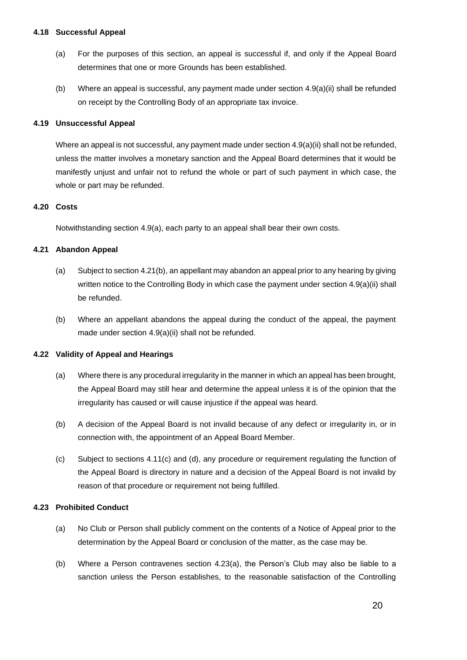#### <span id="page-19-0"></span>**4.18 Successful Appeal**

- (a) For the purposes of this section, an appeal is successful if, and only if the Appeal Board determines that one or more Grounds has been established.
- (b) Where an appeal is successful, any payment made under section [4.9\(a\)\(ii\)](#page-16-0) shall be refunded on receipt by the Controlling Body of an appropriate tax invoice.

#### **4.19 Unsuccessful Appeal**

Where an appeal is not successful, any payment made under section [4.9\(a\)\(ii\)](#page-16-0) shall not be refunded, unless the matter involves a monetary sanction and the Appeal Board determines that it would be manifestly unjust and unfair not to refund the whole or part of such payment in which case, the whole or part may be refunded.

#### **4.20 Costs**

Notwithstanding section [4.9\(a\),](#page-16-1) each party to an appeal shall bear their own costs.

#### <span id="page-19-1"></span>**4.21 Abandon Appeal**

- (a) Subject to sectio[n 4.21\(b\),](#page-19-2) an appellant may abandon an appeal prior to any hearing by giving written notice to the Controlling Body in which case the payment under section [4.9\(a\)\(ii\)](#page-16-0) shall be refunded.
- <span id="page-19-2"></span>(b) Where an appellant abandons the appeal during the conduct of the appeal, the payment made under section [4.9\(a\)\(ii\)](#page-16-0) shall not be refunded.

#### **4.22 Validity of Appeal and Hearings**

- (a) Where there is any procedural irregularity in the manner in which an appeal has been brought, the Appeal Board may still hear and determine the appeal unless it is of the opinion that the irregularity has caused or will cause injustice if the appeal was heard.
- (b) A decision of the Appeal Board is not invalid because of any defect or irregularity in, or in connection with, the appointment of an Appeal Board Member.
- (c) Subject to sections [4.11\(c\)](#page-17-1) and [\(d\),](#page-17-0) any procedure or requirement regulating the function of the Appeal Board is directory in nature and a decision of the Appeal Board is not invalid by reason of that procedure or requirement not being fulfilled.

#### <span id="page-19-3"></span>**4.23 Prohibited Conduct**

- (a) No Club or Person shall publicly comment on the contents of a Notice of Appeal prior to the determination by the Appeal Board or conclusion of the matter, as the case may be.
- (b) Where a Person contravenes section [4.23\(a\),](#page-19-3) the Person's Club may also be liable to a sanction unless the Person establishes, to the reasonable satisfaction of the Controlling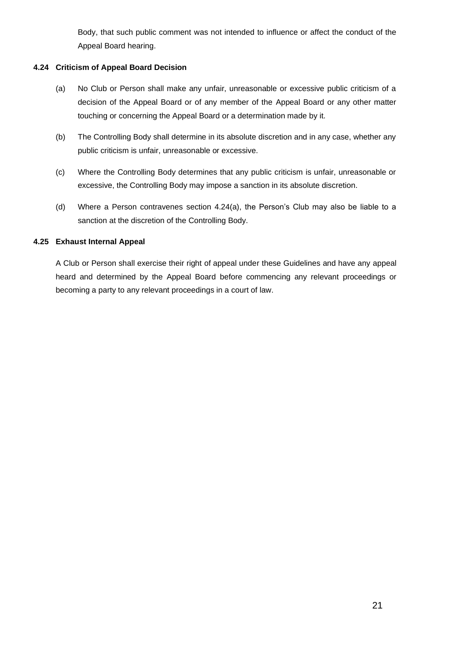Body, that such public comment was not intended to influence or affect the conduct of the Appeal Board hearing.

# <span id="page-20-0"></span>**4.24 Criticism of Appeal Board Decision**

- (a) No Club or Person shall make any unfair, unreasonable or excessive public criticism of a decision of the Appeal Board or of any member of the Appeal Board or any other matter touching or concerning the Appeal Board or a determination made by it.
- (b) The Controlling Body shall determine in its absolute discretion and in any case, whether any public criticism is unfair, unreasonable or excessive.
- (c) Where the Controlling Body determines that any public criticism is unfair, unreasonable or excessive, the Controlling Body may impose a sanction in its absolute discretion.
- (d) Where a Person contravenes section [4.24\(a\),](#page-20-0) the Person's Club may also be liable to a sanction at the discretion of the Controlling Body.

# **4.25 Exhaust Internal Appeal**

A Club or Person shall exercise their right of appeal under these Guidelines and have any appeal heard and determined by the Appeal Board before commencing any relevant proceedings or becoming a party to any relevant proceedings in a court of law.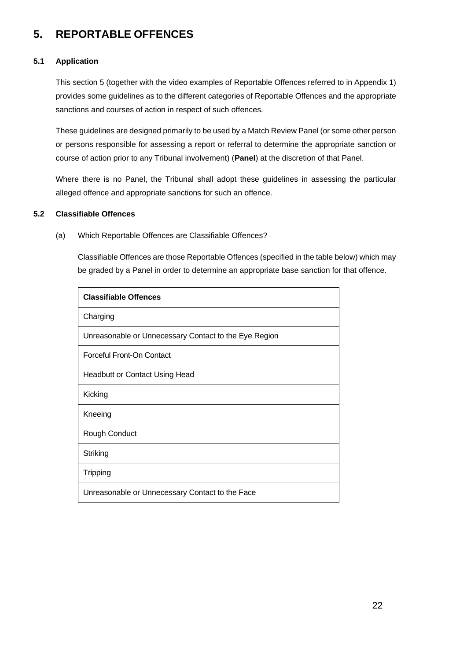# <span id="page-21-0"></span>**5. REPORTABLE OFFENCES**

### **5.1 Application**

This section [5](#page-21-0) (together with the video examples of Reportable Offences referred to in Appendix 1) provides some guidelines as to the different categories of Reportable Offences and the appropriate sanctions and courses of action in respect of such offences.

These guidelines are designed primarily to be used by a Match Review Panel (or some other person or persons responsible for assessing a report or referral to determine the appropriate sanction or course of action prior to any Tribunal involvement) (**Panel**) at the discretion of that Panel.

Where there is no Panel, the Tribunal shall adopt these guidelines in assessing the particular alleged offence and appropriate sanctions for such an offence.

#### <span id="page-21-1"></span>**5.2 Classifiable Offences**

(a) Which Reportable Offences are Classifiable Offences?

Classifiable Offences are those Reportable Offences (specified in the table below) which may be graded by a Panel in order to determine an appropriate base sanction for that offence.

| <b>Classifiable Offences</b>                          |
|-------------------------------------------------------|
| Charging                                              |
| Unreasonable or Unnecessary Contact to the Eye Region |
| Forceful Front-On Contact                             |
| <b>Headbutt or Contact Using Head</b>                 |
| Kicking                                               |
| Kneeing                                               |
| Rough Conduct                                         |
| Striking                                              |
| Tripping                                              |
| Unreasonable or Unnecessary Contact to the Face       |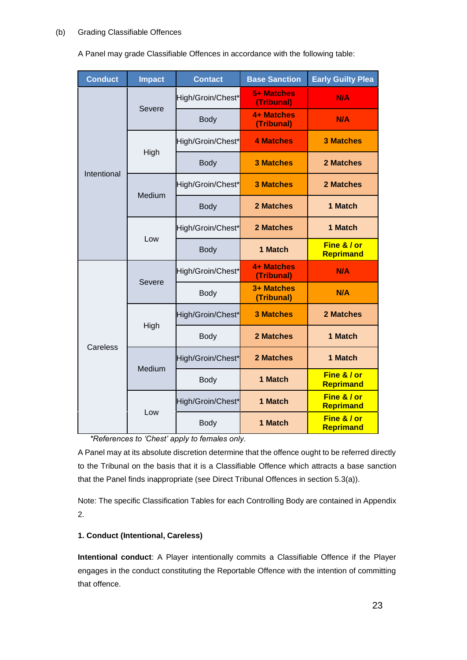#### <span id="page-22-0"></span>(b) Grading Classifiable Offences

A Panel may grade Classifiable Offences in accordance with the following table:

| <b>Conduct</b> | <b>Impact</b> | <b>Contact</b>    | <b>Base Sanction</b>            | <b>Early Guilty Plea</b> |
|----------------|---------------|-------------------|---------------------------------|--------------------------|
| Intentional    | <b>Severe</b> | High/Groin/Chest* | <b>5+ Matches</b><br>(Tribunal) | <b>N/A</b>               |
|                |               | <b>Body</b>       | 4+ Matches<br>(Tribunal)        | N/A                      |
|                | High          | High/Groin/Chest* | <b>4 Matches</b>                | <b>3 Matches</b>         |
|                |               | <b>Body</b>       | <b>3 Matches</b>                | <b>2 Matches</b>         |
|                | Medium        | High/Groin/Chest* | <b>3 Matches</b>                | <b>2 Matches</b>         |
|                |               | <b>Body</b>       | 2 Matches                       | 1 Match                  |
|                | Low           | High/Groin/Chest* | 2 Matches                       | 1 Match                  |
|                |               | <b>Body</b>       | 1 Match                         | Fine & / or<br>Reprimand |
|                | <b>Severe</b> | High/Groin/Chest* | 4+ Matches<br>(Tribunal)        | N/A                      |
| Careless       |               | <b>Body</b>       | 3+ Matches<br>(Tribunal)        | N/A                      |
|                | High          | High/Groin/Chest* | <b>3 Matches</b>                | <b>2 Matches</b>         |
|                |               | <b>Body</b>       | 2 Matches                       | 1 Match                  |
|                | Medium        | High/Groin/Chest* | 2 Matches                       | 1 Match                  |
|                |               | <b>Body</b>       | 1 Match                         | Fine & / or<br>Reprimand |
|                | Low           | High/Groin/Chest* | 1 Match                         | Fine & / or<br>Reprimand |
|                |               | <b>Body</b>       | 1 Match                         | Fine & / or<br>Reprimand |

*\*References to 'Chest' apply to females only.*

A Panel may at its absolute discretion determine that the offence ought to be referred directly to the Tribunal on the basis that it is a Classifiable Offence which attracts a base sanction that the Panel finds inappropriate (see Direct Tribunal Offences in section [5.3\(a\)\)](#page-26-0).

Note: The specific Classification Tables for each Controlling Body are contained in Appendix 2.

# **1. Conduct (Intentional, Careless)**

**Intentional conduct**: A Player intentionally commits a Classifiable Offence if the Player engages in the conduct constituting the Reportable Offence with the intention of committing that offence.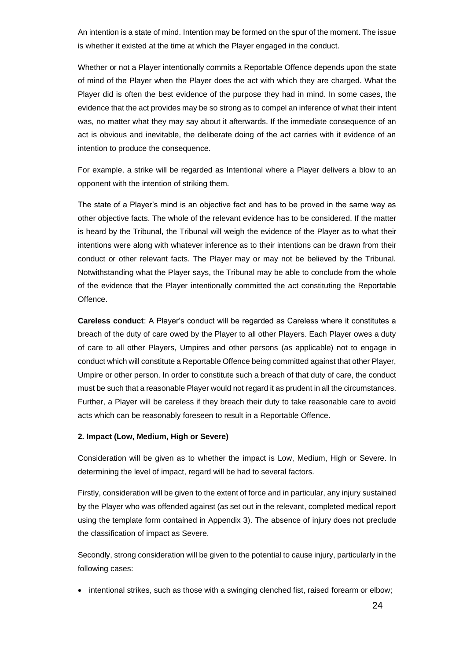An intention is a state of mind. Intention may be formed on the spur of the moment. The issue is whether it existed at the time at which the Player engaged in the conduct.

Whether or not a Player intentionally commits a Reportable Offence depends upon the state of mind of the Player when the Player does the act with which they are charged. What the Player did is often the best evidence of the purpose they had in mind. In some cases, the evidence that the act provides may be so strong as to compel an inference of what their intent was, no matter what they may say about it afterwards. If the immediate consequence of an act is obvious and inevitable, the deliberate doing of the act carries with it evidence of an intention to produce the consequence.

For example, a strike will be regarded as Intentional where a Player delivers a blow to an opponent with the intention of striking them.

The state of a Player's mind is an objective fact and has to be proved in the same way as other objective facts. The whole of the relevant evidence has to be considered. If the matter is heard by the Tribunal, the Tribunal will weigh the evidence of the Player as to what their intentions were along with whatever inference as to their intentions can be drawn from their conduct or other relevant facts. The Player may or may not be believed by the Tribunal. Notwithstanding what the Player says, the Tribunal may be able to conclude from the whole of the evidence that the Player intentionally committed the act constituting the Reportable Offence.

**Careless conduct**: A Player's conduct will be regarded as Careless where it constitutes a breach of the duty of care owed by the Player to all other Players. Each Player owes a duty of care to all other Players, Umpires and other persons (as applicable) not to engage in conduct which will constitute a Reportable Offence being committed against that other Player, Umpire or other person. In order to constitute such a breach of that duty of care, the conduct must be such that a reasonable Player would not regard it as prudent in all the circumstances. Further, a Player will be careless if they breach their duty to take reasonable care to avoid acts which can be reasonably foreseen to result in a Reportable Offence.

#### **2. Impact (Low, Medium, High or Severe)**

Consideration will be given as to whether the impact is Low, Medium, High or Severe. In determining the level of impact, regard will be had to several factors.

Firstly, consideration will be given to the extent of force and in particular, any injury sustained by the Player who was offended against (as set out in the relevant, completed medical report using the template form contained in Appendix 3). The absence of injury does not preclude the classification of impact as Severe.

Secondly, strong consideration will be given to the potential to cause injury, particularly in the following cases:

• intentional strikes, such as those with a swinging clenched fist, raised forearm or elbow;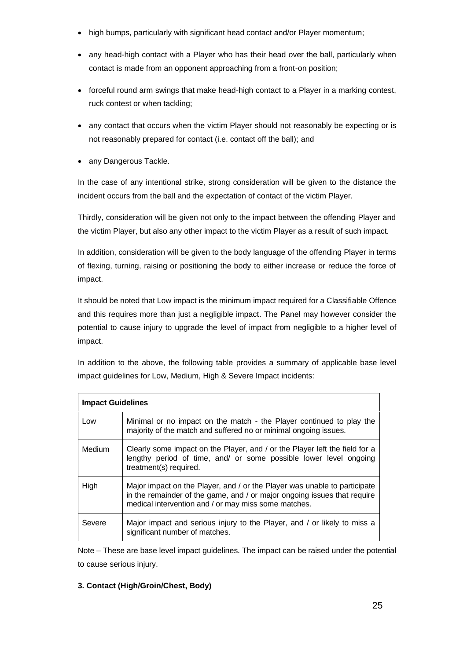- high bumps, particularly with significant head contact and/or Player momentum;
- any head-high contact with a Player who has their head over the ball, particularly when contact is made from an opponent approaching from a front-on position;
- forceful round arm swings that make head-high contact to a Player in a marking contest, ruck contest or when tackling;
- any contact that occurs when the victim Player should not reasonably be expecting or is not reasonably prepared for contact (i.e. contact off the ball); and
- any Dangerous Tackle.

In the case of any intentional strike, strong consideration will be given to the distance the incident occurs from the ball and the expectation of contact of the victim Player.

Thirdly, consideration will be given not only to the impact between the offending Player and the victim Player, but also any other impact to the victim Player as a result of such impact.

In addition, consideration will be given to the body language of the offending Player in terms of flexing, turning, raising or positioning the body to either increase or reduce the force of impact.

It should be noted that Low impact is the minimum impact required for a Classifiable Offence and this requires more than just a negligible impact. The Panel may however consider the potential to cause injury to upgrade the level of impact from negligible to a higher level of impact.

In addition to the above, the following table provides a summary of applicable base level impact guidelines for Low, Medium, High & Severe Impact incidents:

| <b>Impact Guidelines</b> |                                                                                                                                                                                                               |  |
|--------------------------|---------------------------------------------------------------------------------------------------------------------------------------------------------------------------------------------------------------|--|
| Low                      | Minimal or no impact on the match - the Player continued to play the<br>majority of the match and suffered no or minimal ongoing issues.                                                                      |  |
| Medium                   | Clearly some impact on the Player, and / or the Player left the field for a<br>lengthy period of time, and/ or some possible lower level ongoing<br>treatment(s) required.                                    |  |
| High                     | Major impact on the Player, and / or the Player was unable to participate<br>in the remainder of the game, and / or major ongoing issues that require<br>medical intervention and / or may miss some matches. |  |
| Severe                   | Major impact and serious injury to the Player, and / or likely to miss a<br>significant number of matches.                                                                                                    |  |

Note – These are base level impact guidelines. The impact can be raised under the potential to cause serious injury.

# **3. Contact (High/Groin/Chest, Body)**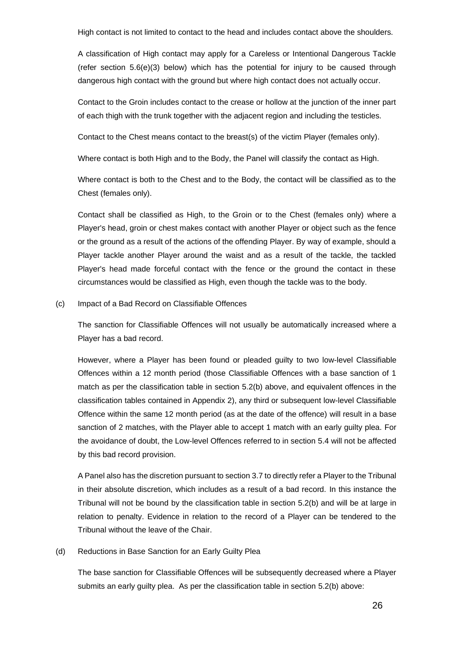High contact is not limited to contact to the head and includes contact above the shoulders.

A classification of High contact may apply for a Careless or Intentional Dangerous Tackle (refer section  $5.6(e)(3)$  $5.6(e)(3)$  below) which has the potential for injury to be caused through dangerous high contact with the ground but where high contact does not actually occur.

Contact to the Groin includes contact to the crease or hollow at the junction of the inner part of each thigh with the trunk together with the adjacent region and including the testicles.

Contact to the Chest means contact to the breast(s) of the victim Player (females only).

Where contact is both High and to the Body, the Panel will classify the contact as High.

Where contact is both to the Chest and to the Body, the contact will be classified as to the Chest (females only).

Contact shall be classified as High, to the Groin or to the Chest (females only) where a Player's head, groin or chest makes contact with another Player or object such as the fence or the ground as a result of the actions of the offending Player. By way of example, should a Player tackle another Player around the waist and as a result of the tackle, the tackled Player's head made forceful contact with the fence or the ground the contact in these circumstances would be classified as High, even though the tackle was to the body.

#### (c) Impact of a Bad Record on Classifiable Offences

The sanction for Classifiable Offences will not usually be automatically increased where a Player has a bad record.

However, where a Player has been found or pleaded guilty to two low-level Classifiable Offences within a 12 month period (those Classifiable Offences with a base sanction of 1 match as per the classification table in section [5.2\(b\)](#page-22-0) above, and equivalent offences in the classification tables contained in Appendix 2), any third or subsequent low-level Classifiable Offence within the same 12 month period (as at the date of the offence) will result in a base sanction of 2 matches, with the Player able to accept 1 match with an early guilty plea. For the avoidance of doubt, the Low-level Offences referred to in section [5.4](#page-27-0) will not be affected by this bad record provision.

A Panel also has the discretion pursuant to section [3.7](#page-12-3) to directly refer a Player to the Tribunal in their absolute discretion, which includes as a result of a bad record. In this instance the Tribunal will not be bound by the classification table in section [5.2\(b\)](#page-22-0) and will be at large in relation to penalty. Evidence in relation to the record of a Player can be tendered to the Tribunal without the leave of the Chair.

#### (d) Reductions in Base Sanction for an Early Guilty Plea

The base sanction for Classifiable Offences will be subsequently decreased where a Player submits an early guilty plea. As per the classification table in section [5.2\(b\)](#page-22-0) above: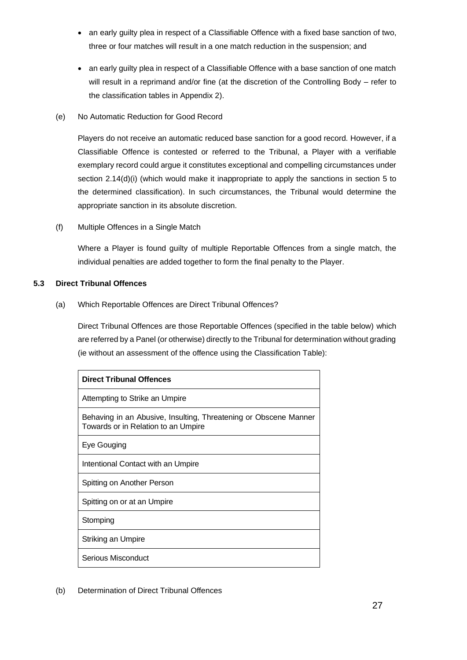- an early guilty plea in respect of a Classifiable Offence with a fixed base sanction of two, three or four matches will result in a one match reduction in the suspension; and
- an early guilty plea in respect of a Classifiable Offence with a base sanction of one match will result in a reprimand and/or fine (at the discretion of the Controlling Body – refer to the classification tables in Appendix 2).
- (e) No Automatic Reduction for Good Record

Players do not receive an automatic reduced base sanction for a good record. However, if a Classifiable Offence is contested or referred to the Tribunal, a Player with a verifiable exemplary record could argue it constitutes exceptional and compelling circumstances under section [2.14\(d\)\(i\)](#page-6-2) (which would make it inappropriate to apply the sanctions in section [5](#page-21-0) to the determined classification). In such circumstances, the Tribunal would determine the appropriate sanction in its absolute discretion.

(f) Multiple Offences in a Single Match

Where a Player is found guilty of multiple Reportable Offences from a single match, the individual penalties are added together to form the final penalty to the Player.

# <span id="page-26-0"></span>**5.3 Direct Tribunal Offences**

(a) Which Reportable Offences are Direct Tribunal Offences?

Direct Tribunal Offences are those Reportable Offences (specified in the table below) which are referred by a Panel (or otherwise) directly to the Tribunal for determination without grading (ie without an assessment of the offence using the Classification Table):

| <b>Direct Tribunal Offences</b>                                                                         |
|---------------------------------------------------------------------------------------------------------|
| Attempting to Strike an Umpire                                                                          |
| Behaving in an Abusive, Insulting, Threatening or Obscene Manner<br>Towards or in Relation to an Umpire |
| Eye Gouging                                                                                             |
| Intentional Contact with an Umpire                                                                      |
| Spitting on Another Person                                                                              |
| Spitting on or at an Umpire                                                                             |
| Stomping                                                                                                |
| Striking an Umpire                                                                                      |
| Serious Misconduct                                                                                      |

(b) Determination of Direct Tribunal Offences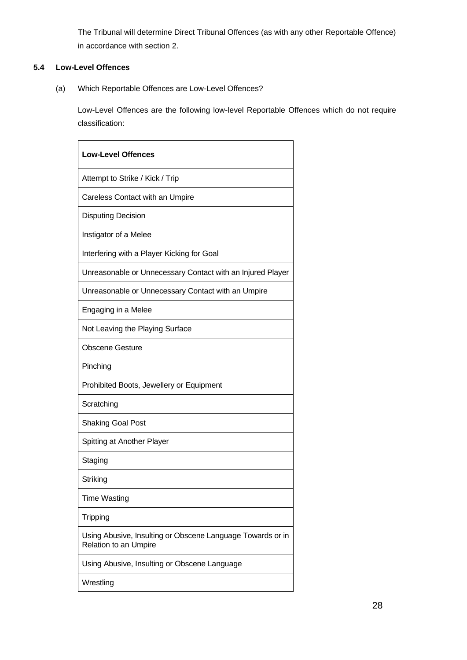The Tribunal will determine Direct Tribunal Offences (as with any other Reportable Offence) in accordance with section [2.](#page-2-2)

# <span id="page-27-0"></span>**5.4 Low-Level Offences**

(a) Which Reportable Offences are Low-Level Offences?

Low-Level Offences are the following low-level Reportable Offences which do not require classification:

| <b>Low-Level Offences</b>                                                                  |
|--------------------------------------------------------------------------------------------|
| Attempt to Strike / Kick / Trip                                                            |
| Careless Contact with an Umpire                                                            |
| <b>Disputing Decision</b>                                                                  |
| Instigator of a Melee                                                                      |
| Interfering with a Player Kicking for Goal                                                 |
| Unreasonable or Unnecessary Contact with an Injured Player                                 |
| Unreasonable or Unnecessary Contact with an Umpire                                         |
| Engaging in a Melee                                                                        |
| Not Leaving the Playing Surface                                                            |
| Obscene Gesture                                                                            |
| Pinching                                                                                   |
| Prohibited Boots, Jewellery or Equipment                                                   |
| Scratching                                                                                 |
| <b>Shaking Goal Post</b>                                                                   |
| Spitting at Another Player                                                                 |
| Staging                                                                                    |
| Striking                                                                                   |
| <b>Time Wasting</b>                                                                        |
| Tripping                                                                                   |
| Using Abusive, Insulting or Obscene Language Towards or in<br><b>Relation to an Umpire</b> |
| Using Abusive, Insulting or Obscene Language                                               |
| Wrestling                                                                                  |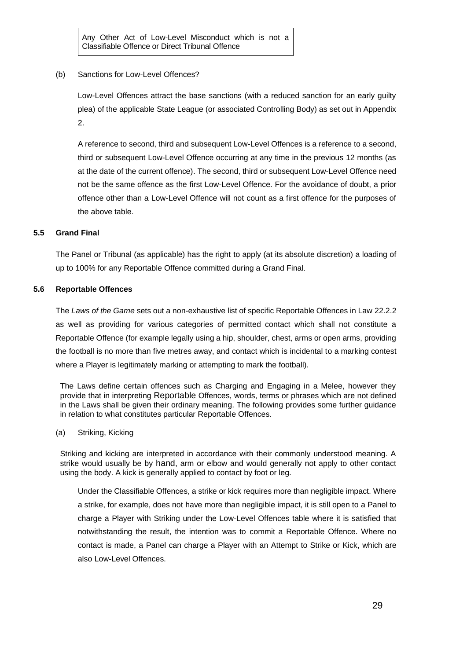Any Other Act of Low-Level Misconduct which is not a Classifiable Offence or Direct Tribunal Offence

(b) Sanctions for Low-Level Offences?

Low-Level Offences attract the base sanctions (with a reduced sanction for an early guilty plea) of the applicable State League (or associated Controlling Body) as set out in Appendix 2.

A reference to second, third and subsequent Low-Level Offences is a reference to a second, third or subsequent Low-Level Offence occurring at any time in the previous 12 months (as at the date of the current offence). The second, third or subsequent Low-Level Offence need not be the same offence as the first Low-Level Offence. For the avoidance of doubt, a prior offence other than a Low-Level Offence will not count as a first offence for the purposes of the above table.

#### **5.5 Grand Final**

The Panel or Tribunal (as applicable) has the right to apply (at its absolute discretion) a loading of up to 100% for any Reportable Offence committed during a Grand Final.

#### **5.6 Reportable Offences**

The *Laws of the Game* sets out a non-exhaustive list of specific Reportable Offences in Law 22.2.2 as well as providing for various categories of permitted contact which shall not constitute a Reportable Offence (for example legally using a hip, shoulder, chest, arms or open arms, providing the football is no more than five metres away, and contact which is incidental to a marking contest where a Player is legitimately marking or attempting to mark the football).

The Laws define certain offences such as Charging and Engaging in a Melee, however they provide that in interpreting Reportable Offences, words, terms or phrases which are not defined in the Laws shall be given their ordinary meaning. The following provides some further guidance in relation to what constitutes particular Reportable Offences.

(a) Striking, Kicking

Striking and kicking are interpreted in accordance with their commonly understood meaning. A strike would usually be by hand, arm or elbow and would generally not apply to other contact using the body. A kick is generally applied to contact by foot or leg.

Under the Classifiable Offences, a strike or kick requires more than negligible impact. Where a strike, for example, does not have more than negligible impact, it is still open to a Panel to charge a Player with Striking under the Low-Level Offences table where it is satisfied that notwithstanding the result, the intention was to commit a Reportable Offence. Where no contact is made, a Panel can charge a Player with an Attempt to Strike or Kick, which are also Low-Level Offences.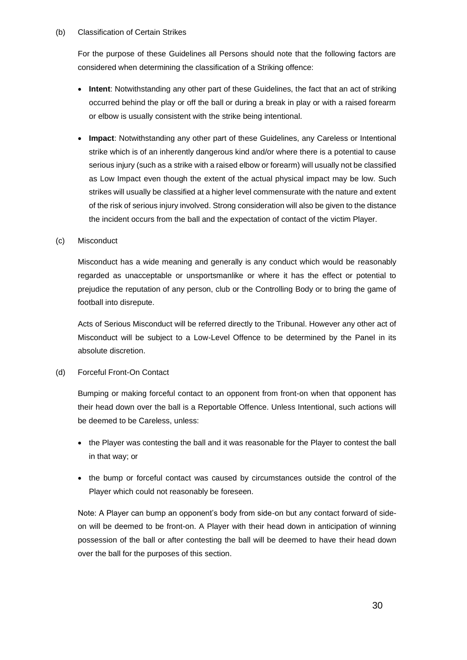#### (b) Classification of Certain Strikes

For the purpose of these Guidelines all Persons should note that the following factors are considered when determining the classification of a Striking offence:

- **Intent**: Notwithstanding any other part of these Guidelines, the fact that an act of striking occurred behind the play or off the ball or during a break in play or with a raised forearm or elbow is usually consistent with the strike being intentional.
- **Impact**: Notwithstanding any other part of these Guidelines, any Careless or Intentional strike which is of an inherently dangerous kind and/or where there is a potential to cause serious injury (such as a strike with a raised elbow or forearm) will usually not be classified as Low Impact even though the extent of the actual physical impact may be low. Such strikes will usually be classified at a higher level commensurate with the nature and extent of the risk of serious injury involved. Strong consideration will also be given to the distance the incident occurs from the ball and the expectation of contact of the victim Player.

#### (c) Misconduct

Misconduct has a wide meaning and generally is any conduct which would be reasonably regarded as unacceptable or unsportsmanlike or where it has the effect or potential to prejudice the reputation of any person, club or the Controlling Body or to bring the game of football into disrepute.

Acts of Serious Misconduct will be referred directly to the Tribunal. However any other act of Misconduct will be subject to a Low-Level Offence to be determined by the Panel in its absolute discretion.

#### (d) Forceful Front-On Contact

Bumping or making forceful contact to an opponent from front-on when that opponent has their head down over the ball is a Reportable Offence. Unless Intentional, such actions will be deemed to be Careless, unless:

- the Player was contesting the ball and it was reasonable for the Player to contest the ball in that way; or
- the bump or forceful contact was caused by circumstances outside the control of the Player which could not reasonably be foreseen.

Note: A Player can bump an opponent's body from side-on but any contact forward of sideon will be deemed to be front-on. A Player with their head down in anticipation of winning possession of the ball or after contesting the ball will be deemed to have their head down over the ball for the purposes of this section.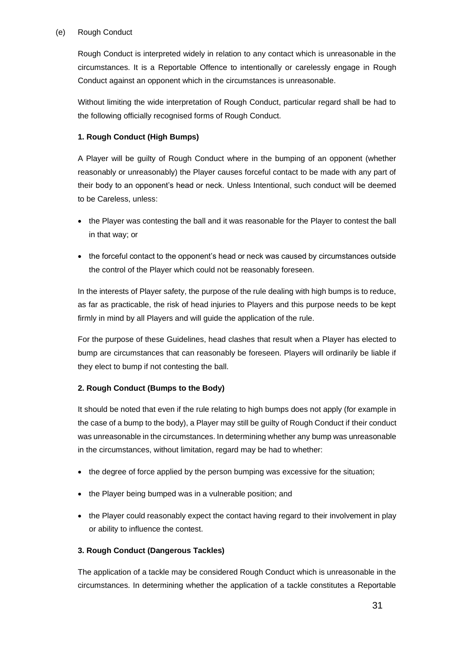#### <span id="page-30-0"></span>(e) Rough Conduct

Rough Conduct is interpreted widely in relation to any contact which is unreasonable in the circumstances. It is a Reportable Offence to intentionally or carelessly engage in Rough Conduct against an opponent which in the circumstances is unreasonable.

Without limiting the wide interpretation of Rough Conduct, particular regard shall be had to the following officially recognised forms of Rough Conduct.

# **1. Rough Conduct (High Bumps)**

A Player will be guilty of Rough Conduct where in the bumping of an opponent (whether reasonably or unreasonably) the Player causes forceful contact to be made with any part of their body to an opponent's head or neck. Unless Intentional, such conduct will be deemed to be Careless, unless:

- the Player was contesting the ball and it was reasonable for the Player to contest the ball in that way; or
- the forceful contact to the opponent's head or neck was caused by circumstances outside the control of the Player which could not be reasonably foreseen.

In the interests of Player safety, the purpose of the rule dealing with high bumps is to reduce, as far as practicable, the risk of head injuries to Players and this purpose needs to be kept firmly in mind by all Players and will guide the application of the rule.

For the purpose of these Guidelines, head clashes that result when a Player has elected to bump are circumstances that can reasonably be foreseen. Players will ordinarily be liable if they elect to bump if not contesting the ball.

# **2. Rough Conduct (Bumps to the Body)**

It should be noted that even if the rule relating to high bumps does not apply (for example in the case of a bump to the body), a Player may still be guilty of Rough Conduct if their conduct was unreasonable in the circumstances. In determining whether any bump was unreasonable in the circumstances, without limitation, regard may be had to whether:

- the degree of force applied by the person bumping was excessive for the situation;
- the Player being bumped was in a vulnerable position; and
- the Player could reasonably expect the contact having regard to their involvement in play or ability to influence the contest.

# **3. Rough Conduct (Dangerous Tackles)**

The application of a tackle may be considered Rough Conduct which is unreasonable in the circumstances. In determining whether the application of a tackle constitutes a Reportable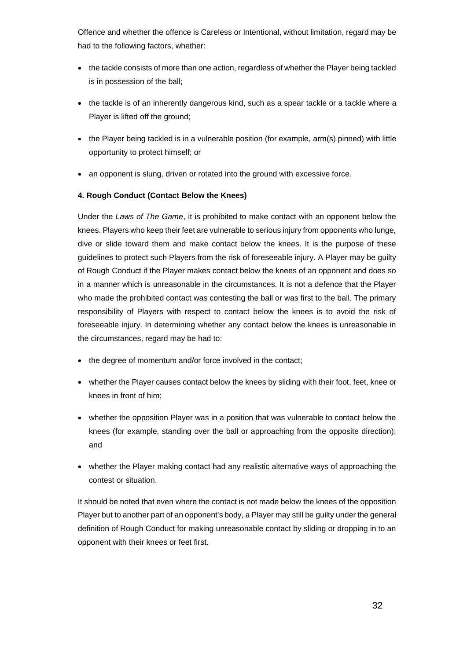Offence and whether the offence is Careless or Intentional, without limitation, regard may be had to the following factors, whether:

- the tackle consists of more than one action, regardless of whether the Player being tackled is in possession of the ball;
- the tackle is of an inherently dangerous kind, such as a spear tackle or a tackle where a Player is lifted off the ground:
- the Player being tackled is in a vulnerable position (for example, arm(s) pinned) with little opportunity to protect himself; or
- an opponent is slung, driven or rotated into the ground with excessive force.

# **4. Rough Conduct (Contact Below the Knees)**

Under the *Laws of The Game*, it is prohibited to make contact with an opponent below the knees. Players who keep their feet are vulnerable to serious injury from opponents who lunge, dive or slide toward them and make contact below the knees. It is the purpose of these guidelines to protect such Players from the risk of foreseeable injury. A Player may be guilty of Rough Conduct if the Player makes contact below the knees of an opponent and does so in a manner which is unreasonable in the circumstances. It is not a defence that the Player who made the prohibited contact was contesting the ball or was first to the ball. The primary responsibility of Players with respect to contact below the knees is to avoid the risk of foreseeable injury. In determining whether any contact below the knees is unreasonable in the circumstances, regard may be had to:

- the degree of momentum and/or force involved in the contact;
- whether the Player causes contact below the knees by sliding with their foot, feet, knee or knees in front of him;
- whether the opposition Player was in a position that was vulnerable to contact below the knees (for example, standing over the ball or approaching from the opposite direction); and
- whether the Player making contact had any realistic alternative ways of approaching the contest or situation.

It should be noted that even where the contact is not made below the knees of the opposition Player but to another part of an opponent's body, a Player may still be guilty under the general definition of Rough Conduct for making unreasonable contact by sliding or dropping in to an opponent with their knees or feet first.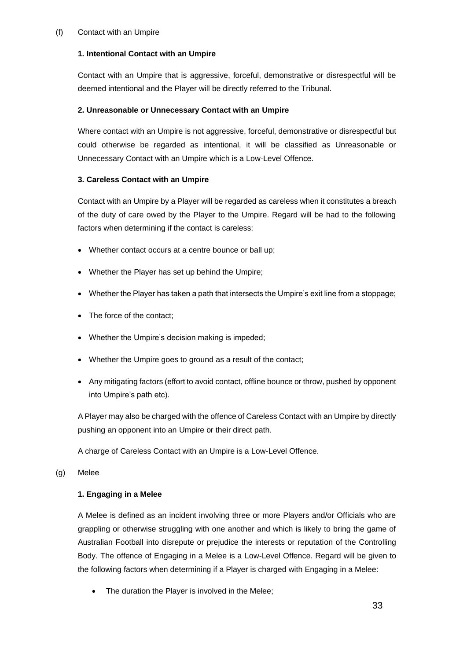#### (f) Contact with an Umpire

# **1. Intentional Contact with an Umpire**

Contact with an Umpire that is aggressive, forceful, demonstrative or disrespectful will be deemed intentional and the Player will be directly referred to the Tribunal.

### **2. Unreasonable or Unnecessary Contact with an Umpire**

Where contact with an Umpire is not aggressive, forceful, demonstrative or disrespectful but could otherwise be regarded as intentional, it will be classified as Unreasonable or Unnecessary Contact with an Umpire which is a Low-Level Offence.

# **3. Careless Contact with an Umpire**

Contact with an Umpire by a Player will be regarded as careless when it constitutes a breach of the duty of care owed by the Player to the Umpire. Regard will be had to the following factors when determining if the contact is careless:

- Whether contact occurs at a centre bounce or ball up;
- Whether the Player has set up behind the Umpire;
- Whether the Player has taken a path that intersects the Umpire's exit line from a stoppage;
- The force of the contact;
- Whether the Umpire's decision making is impeded;
- Whether the Umpire goes to ground as a result of the contact;
- Any mitigating factors (effort to avoid contact, offline bounce or throw, pushed by opponent into Umpire's path etc).

A Player may also be charged with the offence of Careless Contact with an Umpire by directly pushing an opponent into an Umpire or their direct path.

A charge of Careless Contact with an Umpire is a Low-Level Offence.

(g) Melee

# **1. Engaging in a Melee**

A Melee is defined as an incident involving three or more Players and/or Officials who are grappling or otherwise struggling with one another and which is likely to bring the game of Australian Football into disrepute or prejudice the interests or reputation of the Controlling Body. The offence of Engaging in a Melee is a Low-Level Offence. Regard will be given to the following factors when determining if a Player is charged with Engaging in a Melee:

The duration the Player is involved in the Melee;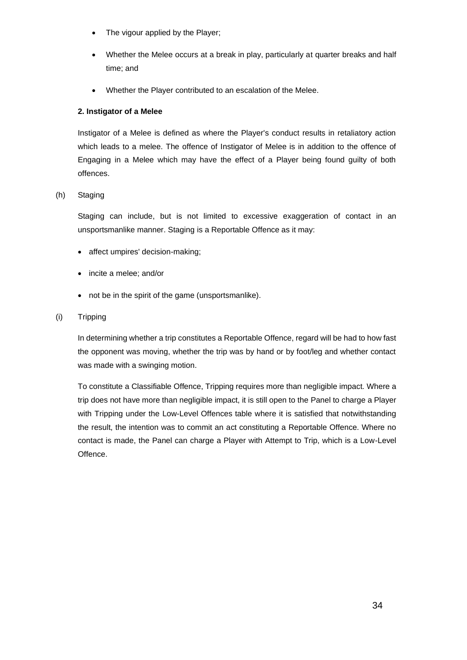- The vigour applied by the Player;
- Whether the Melee occurs at a break in play, particularly at quarter breaks and half time; and
- Whether the Player contributed to an escalation of the Melee.

### **2. Instigator of a Melee**

Instigator of a Melee is defined as where the Player's conduct results in retaliatory action which leads to a melee. The offence of Instigator of Melee is in addition to the offence of Engaging in a Melee which may have the effect of a Player being found guilty of both offences.

# (h) Staging

Staging can include, but is not limited to excessive exaggeration of contact in an unsportsmanlike manner. Staging is a Reportable Offence as it may:

- affect umpires' decision-making;
- incite a melee; and/or
- not be in the spirit of the game (unsportsmanlike).

#### (i) Tripping

In determining whether a trip constitutes a Reportable Offence, regard will be had to how fast the opponent was moving, whether the trip was by hand or by foot/leg and whether contact was made with a swinging motion.

To constitute a Classifiable Offence, Tripping requires more than negligible impact. Where a trip does not have more than negligible impact, it is still open to the Panel to charge a Player with Tripping under the Low-Level Offences table where it is satisfied that notwithstanding the result, the intention was to commit an act constituting a Reportable Offence. Where no contact is made, the Panel can charge a Player with Attempt to Trip, which is a Low-Level Offence.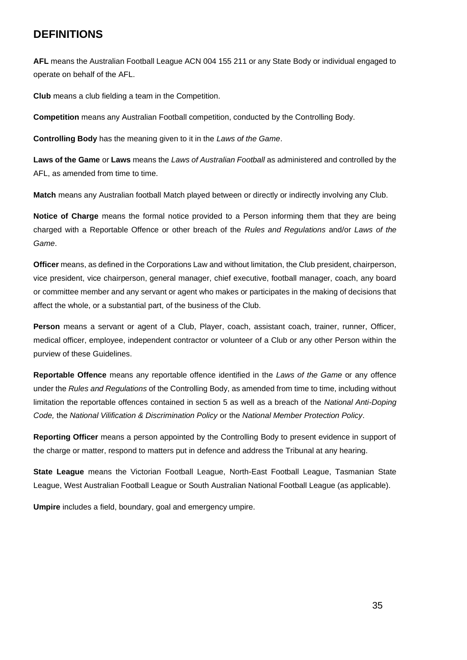# **DEFINITIONS**

**AFL** means the Australian Football League ACN 004 155 211 or any State Body or individual engaged to operate on behalf of the AFL.

**Club** means a club fielding a team in the Competition.

**Competition** means any Australian Football competition, conducted by the Controlling Body.

**Controlling Body** has the meaning given to it in the *Laws of the Game*.

**Laws of the Game** or **Laws** means the *Laws of Australian Football* as administered and controlled by the AFL, as amended from time to time.

**Match** means any Australian football Match played between or directly or indirectly involving any Club.

**Notice of Charge** means the formal notice provided to a Person informing them that they are being charged with a Reportable Offence or other breach of the *Rules and Regulations* and/or *Laws of the Game*.

**Officer** means, as defined in the Corporations Law and without limitation, the Club president, chairperson, vice president, vice chairperson, general manager, chief executive, football manager, coach, any board or committee member and any servant or agent who makes or participates in the making of decisions that affect the whole, or a substantial part, of the business of the Club.

**Person** means a servant or agent of a Club, Player, coach, assistant coach, trainer, runner, Officer, medical officer, employee, independent contractor or volunteer of a Club or any other Person within the purview of these Guidelines.

**Reportable Offence** means any reportable offence identified in the *Laws of the Game* or any offence under the *Rules and Regulations* of the Controlling Body, as amended from time to time, including without limitation the reportable offences contained in section 5 as well as a breach of the *National Anti-Doping Code,* the *National Vilification & Discrimination Policy* or the *National Member Protection Policy*.

**Reporting Officer** means a person appointed by the Controlling Body to present evidence in support of the charge or matter, respond to matters put in defence and address the Tribunal at any hearing.

**State League** means the Victorian Football League, North-East Football League, Tasmanian State League, West Australian Football League or South Australian National Football League (as applicable).

**Umpire** includes a field, boundary, goal and emergency umpire.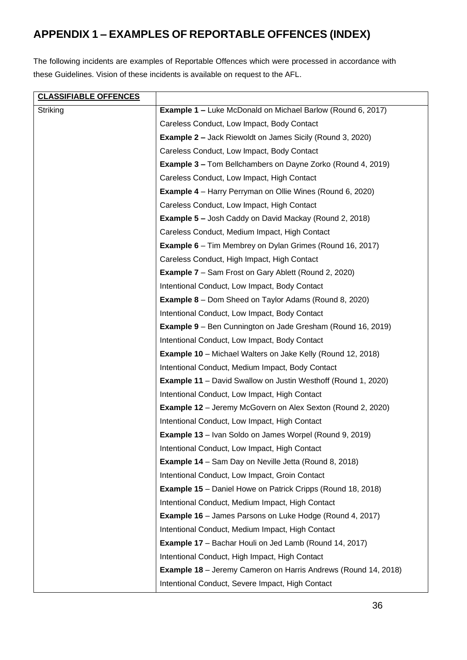# **APPENDIX 1 – EXAMPLES OF REPORTABLE OFFENCES (INDEX)**

The following incidents are examples of Reportable Offences which were processed in accordance with these Guidelines. Vision of these incidents is available on request to the AFL.

| <b>CLASSIFIABLE OFFENCES</b> |                                                                       |
|------------------------------|-----------------------------------------------------------------------|
| Striking                     | <b>Example 1 - Luke McDonald on Michael Barlow (Round 6, 2017)</b>    |
|                              | Careless Conduct, Low Impact, Body Contact                            |
|                              | <b>Example 2 – Jack Riewoldt on James Sicily (Round 3, 2020)</b>      |
|                              | Careless Conduct, Low Impact, Body Contact                            |
|                              | <b>Example 3 – Tom Bellchambers on Dayne Zorko (Round 4, 2019)</b>    |
|                              | Careless Conduct, Low Impact, High Contact                            |
|                              | <b>Example 4</b> – Harry Perryman on Ollie Wines (Round 6, 2020)      |
|                              | Careless Conduct, Low Impact, High Contact                            |
|                              | <b>Example 5 – Josh Caddy on David Mackay (Round 2, 2018)</b>         |
|                              | Careless Conduct, Medium Impact, High Contact                         |
|                              | <b>Example 6</b> – Tim Membrey on Dylan Grimes (Round 16, 2017)       |
|                              | Careless Conduct, High Impact, High Contact                           |
|                              | <b>Example 7</b> – Sam Frost on Gary Ablett (Round 2, 2020)           |
|                              | Intentional Conduct, Low Impact, Body Contact                         |
|                              | <b>Example 8</b> – Dom Sheed on Taylor Adams (Round 8, 2020)          |
|                              | Intentional Conduct, Low Impact, Body Contact                         |
|                              | <b>Example 9</b> – Ben Cunnington on Jade Gresham (Round 16, 2019)    |
|                              | Intentional Conduct, Low Impact, Body Contact                         |
|                              | <b>Example 10</b> – Michael Walters on Jake Kelly (Round 12, 2018)    |
|                              | Intentional Conduct, Medium Impact, Body Contact                      |
|                              | <b>Example 11</b> – David Swallow on Justin Westhoff (Round 1, 2020)  |
|                              | Intentional Conduct, Low Impact, High Contact                         |
|                              | <b>Example 12</b> – Jeremy McGovern on Alex Sexton (Round 2, 2020)    |
|                              | Intentional Conduct, Low Impact, High Contact                         |
|                              | <b>Example 13</b> – Ivan Soldo on James Worpel (Round 9, 2019)        |
|                              | Intentional Conduct, Low Impact, High Contact                         |
|                              | <b>Example 14</b> – Sam Day on Neville Jetta (Round 8, 2018)          |
|                              | Intentional Conduct, Low Impact, Groin Contact                        |
|                              | <b>Example 15</b> – Daniel Howe on Patrick Cripps (Round 18, 2018)    |
|                              | Intentional Conduct, Medium Impact, High Contact                      |
|                              | <b>Example 16</b> - James Parsons on Luke Hodge (Round 4, 2017)       |
|                              | Intentional Conduct, Medium Impact, High Contact                      |
|                              | <b>Example 17</b> – Bachar Houli on Jed Lamb (Round 14, 2017)         |
|                              | Intentional Conduct, High Impact, High Contact                        |
|                              | <b>Example 18</b> – Jeremy Cameron on Harris Andrews (Round 14, 2018) |
|                              | Intentional Conduct, Severe Impact, High Contact                      |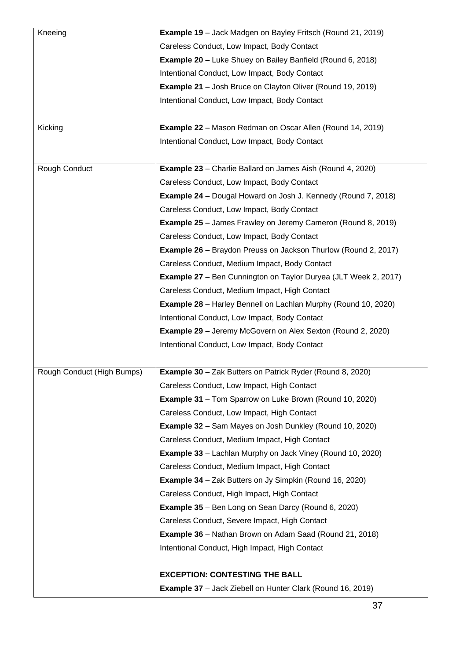| Kneeing                    | Example 19 - Jack Madgen on Bayley Fritsch (Round 21, 2019)            |
|----------------------------|------------------------------------------------------------------------|
|                            | Careless Conduct, Low Impact, Body Contact                             |
|                            | <b>Example 20</b> – Luke Shuey on Bailey Banfield (Round 6, 2018)      |
|                            | Intentional Conduct, Low Impact, Body Contact                          |
|                            | <b>Example 21</b> – Josh Bruce on Clayton Oliver (Round 19, 2019)      |
|                            | Intentional Conduct, Low Impact, Body Contact                          |
|                            |                                                                        |
| Kicking                    | <b>Example 22</b> - Mason Redman on Oscar Allen (Round 14, 2019)       |
|                            | Intentional Conduct, Low Impact, Body Contact                          |
|                            |                                                                        |
| Rough Conduct              | <b>Example 23</b> – Charlie Ballard on James Aish (Round 4, 2020)      |
|                            | Careless Conduct, Low Impact, Body Contact                             |
|                            | <b>Example 24</b> – Dougal Howard on Josh J. Kennedy (Round 7, 2018)   |
|                            | Careless Conduct, Low Impact, Body Contact                             |
|                            | <b>Example 25</b> – James Frawley on Jeremy Cameron (Round 8, 2019)    |
|                            | Careless Conduct, Low Impact, Body Contact                             |
|                            | <b>Example 26</b> – Braydon Preuss on Jackson Thurlow (Round 2, 2017)  |
|                            | Careless Conduct, Medium Impact, Body Contact                          |
|                            | <b>Example 27</b> – Ben Cunnington on Taylor Duryea (JLT Week 2, 2017) |
|                            | Careless Conduct, Medium Impact, High Contact                          |
|                            | <b>Example 28</b> – Harley Bennell on Lachlan Murphy (Round 10, 2020)  |
|                            | Intentional Conduct, Low Impact, Body Contact                          |
|                            | <b>Example 29 - Jeremy McGovern on Alex Sexton (Round 2, 2020)</b>     |
|                            | Intentional Conduct, Low Impact, Body Contact                          |
|                            |                                                                        |
| Rough Conduct (High Bumps) | <b>Example 30 - Zak Butters on Patrick Ryder (Round 8, 2020)</b>       |
|                            | Careless Conduct, Low Impact, High Contact                             |
|                            | <b>Example 31</b> - Tom Sparrow on Luke Brown (Round 10, 2020)         |
|                            | Careless Conduct, Low Impact, High Contact                             |
|                            | <b>Example 32</b> – Sam Mayes on Josh Dunkley (Round 10, 2020)         |
|                            | Careless Conduct, Medium Impact, High Contact                          |
|                            | <b>Example 33</b> – Lachlan Murphy on Jack Viney (Round 10, 2020)      |
|                            | Careless Conduct, Medium Impact, High Contact                          |
|                            | <b>Example 34</b> – Zak Butters on Jy Simpkin (Round 16, 2020)         |
|                            | Careless Conduct, High Impact, High Contact                            |
|                            | <b>Example 35</b> – Ben Long on Sean Darcy (Round 6, 2020)             |
|                            | Careless Conduct, Severe Impact, High Contact                          |
|                            | <b>Example 36</b> – Nathan Brown on Adam Saad (Round 21, 2018)         |
|                            | Intentional Conduct, High Impact, High Contact                         |
|                            |                                                                        |
|                            | <b>EXCEPTION: CONTESTING THE BALL</b>                                  |
|                            | <b>Example 37</b> – Jack Ziebell on Hunter Clark (Round 16, 2019)      |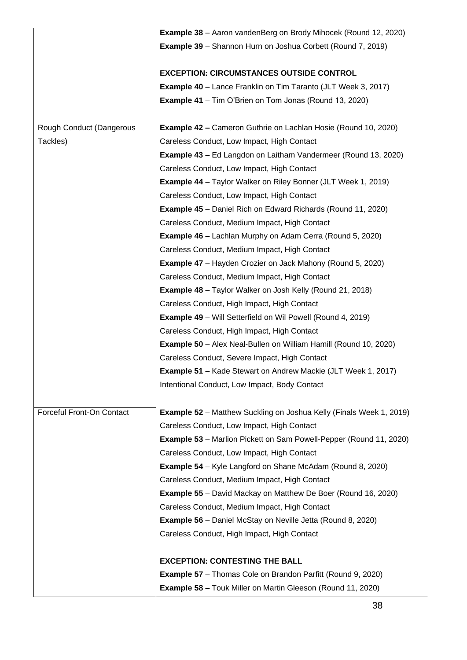|                           | <b>Example 38</b> - Aaron vandenBerg on Brody Mihocek (Round 12, 2020)     |
|---------------------------|----------------------------------------------------------------------------|
|                           | <b>Example 39</b> – Shannon Hurn on Joshua Corbett (Round 7, 2019)         |
|                           |                                                                            |
|                           | <b>EXCEPTION: CIRCUMSTANCES OUTSIDE CONTROL</b>                            |
|                           | <b>Example 40</b> – Lance Franklin on Tim Taranto (JLT Week 3, 2017)       |
|                           | <b>Example 41</b> – Tim O'Brien on Tom Jonas (Round 13, 2020)              |
|                           |                                                                            |
| Rough Conduct (Dangerous  | <b>Example 42 - Cameron Guthrie on Lachlan Hosie (Round 10, 2020)</b>      |
| Tackles)                  | Careless Conduct, Low Impact, High Contact                                 |
|                           | <b>Example 43 – Ed Langdon on Laitham Vandermeer (Round 13, 2020)</b>      |
|                           | Careless Conduct, Low Impact, High Contact                                 |
|                           | <b>Example 44</b> - Taylor Walker on Riley Bonner (JLT Week 1, 2019)       |
|                           | Careless Conduct, Low Impact, High Contact                                 |
|                           | <b>Example 45</b> – Daniel Rich on Edward Richards (Round 11, 2020)        |
|                           | Careless Conduct, Medium Impact, High Contact                              |
|                           | <b>Example 46</b> – Lachlan Murphy on Adam Cerra (Round 5, 2020)           |
|                           | Careless Conduct, Medium Impact, High Contact                              |
|                           | <b>Example 47</b> – Hayden Crozier on Jack Mahony (Round 5, 2020)          |
|                           | Careless Conduct, Medium Impact, High Contact                              |
|                           | <b>Example 48</b> – Taylor Walker on Josh Kelly (Round 21, 2018)           |
|                           | Careless Conduct, High Impact, High Contact                                |
|                           | <b>Example 49</b> – Will Setterfield on Wil Powell (Round 4, 2019)         |
|                           | Careless Conduct, High Impact, High Contact                                |
|                           | <b>Example 50</b> - Alex Neal-Bullen on William Hamill (Round 10, 2020)    |
|                           | Careless Conduct, Severe Impact, High Contact                              |
|                           | <b>Example 51</b> – Kade Stewart on Andrew Mackie (JLT Week 1, 2017)       |
|                           | Intentional Conduct, Low Impact, Body Contact                              |
|                           |                                                                            |
| Forceful Front-On Contact | <b>Example 52</b> – Matthew Suckling on Joshua Kelly (Finals Week 1, 2019) |
|                           | Careless Conduct, Low Impact, High Contact                                 |
|                           | <b>Example 53</b> – Marlion Pickett on Sam Powell-Pepper (Round 11, 2020)  |
|                           | Careless Conduct, Low Impact, High Contact                                 |
|                           | <b>Example 54</b> – Kyle Langford on Shane McAdam (Round 8, 2020)          |
|                           | Careless Conduct, Medium Impact, High Contact                              |
|                           | <b>Example 55</b> – David Mackay on Matthew De Boer (Round 16, 2020)       |
|                           | Careless Conduct, Medium Impact, High Contact                              |
|                           | <b>Example 56</b> – Daniel McStay on Neville Jetta (Round 8, 2020)         |
|                           | Careless Conduct, High Impact, High Contact                                |
|                           |                                                                            |
|                           | <b>EXCEPTION: CONTESTING THE BALL</b>                                      |
|                           | <b>Example 57</b> – Thomas Cole on Brandon Parfitt (Round 9, 2020)         |
|                           |                                                                            |
|                           | <b>Example 58</b> – Touk Miller on Martin Gleeson (Round 11, 2020)         |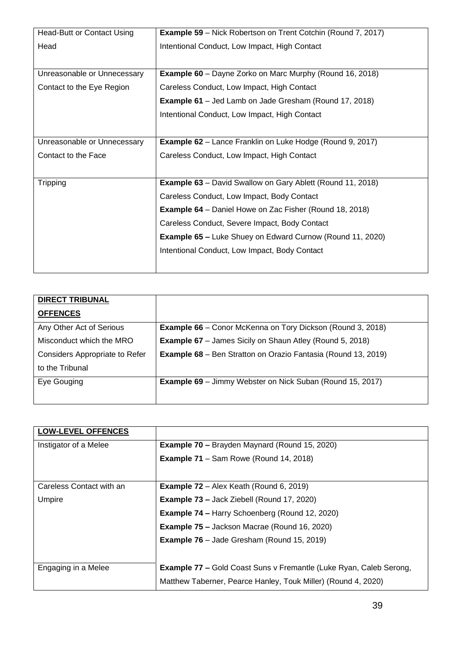| Head-Butt or Contact Using  | <b>Example 59</b> – Nick Robertson on Trent Cotchin (Round 7, 2017) |  |
|-----------------------------|---------------------------------------------------------------------|--|
| Head                        | Intentional Conduct, Low Impact, High Contact                       |  |
|                             |                                                                     |  |
| Unreasonable or Unnecessary | <b>Example 60</b> – Dayne Zorko on Marc Murphy (Round 16, 2018)     |  |
| Contact to the Eye Region   | Careless Conduct, Low Impact, High Contact                          |  |
|                             | <b>Example 61</b> – Jed Lamb on Jade Gresham (Round 17, 2018)       |  |
|                             | Intentional Conduct, Low Impact, High Contact                       |  |
|                             |                                                                     |  |
| Unreasonable or Unnecessary | <b>Example 62</b> – Lance Franklin on Luke Hodge (Round 9, 2017)    |  |
| Contact to the Face         | Careless Conduct, Low Impact, High Contact                          |  |
|                             |                                                                     |  |
| <b>Tripping</b>             | <b>Example 63</b> – David Swallow on Gary Ablett (Round 11, 2018)   |  |
|                             | Careless Conduct, Low Impact, Body Contact                          |  |
|                             | <b>Example 64</b> – Daniel Howe on Zac Fisher (Round 18, 2018)      |  |
|                             | Careless Conduct, Severe Impact, Body Contact                       |  |
|                             | <b>Example 65 – Luke Shuey on Edward Curnow (Round 11, 2020)</b>    |  |
|                             | Intentional Conduct, Low Impact, Body Contact                       |  |
|                             |                                                                     |  |
|                             |                                                                     |  |

| <b>DIRECT TRIBUNAL</b>                |                                                                      |
|---------------------------------------|----------------------------------------------------------------------|
| <b>OFFENCES</b>                       |                                                                      |
| Any Other Act of Serious              | <b>Example 66</b> – Conor McKenna on Tory Dickson (Round 3, 2018)    |
| Misconduct which the MRO              | <b>Example 67</b> - James Sicily on Shaun Atley (Round 5, 2018)      |
| <b>Considers Appropriate to Refer</b> | <b>Example 68</b> – Ben Stratton on Orazio Fantasia (Round 13, 2019) |
| to the Tribunal                       |                                                                      |
| Eye Gouging                           | <b>Example 69</b> – Jimmy Webster on Nick Suban (Round 15, 2017)     |
|                                       |                                                                      |

| <b>LOW-LEVEL OFFENCES</b> |                                                                           |
|---------------------------|---------------------------------------------------------------------------|
| Instigator of a Melee     | <b>Example 70 – Brayden Maynard (Round 15, 2020)</b>                      |
|                           | <b>Example 71</b> – Sam Rowe (Round 14, 2018)                             |
| Careless Contact with an  | <b>Example 72</b> – Alex Keath (Round 6, 2019)                            |
| Umpire                    | <b>Example 73 - Jack Ziebell (Round 17, 2020)</b>                         |
|                           | <b>Example 74 - Harry Schoenberg (Round 12, 2020)</b>                     |
|                           | <b>Example 75 – Jackson Macrae (Round 16, 2020)</b>                       |
|                           | <b>Example 76</b> – Jade Gresham (Round 15, 2019)                         |
| Engaging in a Melee       | <b>Example 77 - Gold Coast Suns v Fremantle (Luke Ryan, Caleb Serong,</b> |
|                           | Matthew Taberner, Pearce Hanley, Touk Miller) (Round 4, 2020)             |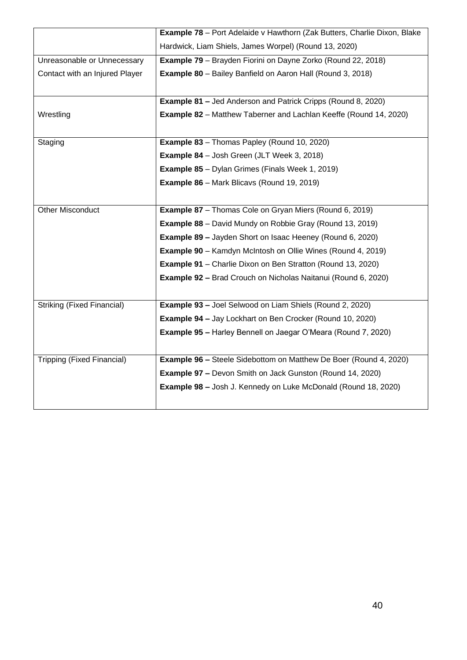|                                   | <b>Example 78</b> - Port Adelaide v Hawthorn (Zak Butters, Charlie Dixon, Blake |
|-----------------------------------|---------------------------------------------------------------------------------|
|                                   | Hardwick, Liam Shiels, James Worpel) (Round 13, 2020)                           |
| Unreasonable or Unnecessary       | <b>Example 79</b> - Brayden Fiorini on Dayne Zorko (Round 22, 2018)             |
| Contact with an Injured Player    | <b>Example 80</b> - Bailey Banfield on Aaron Hall (Round 3, 2018)               |
|                                   |                                                                                 |
|                                   | <b>Example 81 - Jed Anderson and Patrick Cripps (Round 8, 2020)</b>             |
| Wrestling                         | <b>Example 82</b> – Matthew Taberner and Lachlan Keeffe (Round 14, 2020)        |
|                                   |                                                                                 |
| Staging                           | <b>Example 83</b> - Thomas Papley (Round 10, 2020)                              |
|                                   | <b>Example 84</b> - Josh Green (JLT Week 3, 2018)                               |
|                                   | <b>Example 85</b> - Dylan Grimes (Finals Week 1, 2019)                          |
|                                   | <b>Example 86</b> – Mark Blicavs (Round 19, 2019)                               |
|                                   |                                                                                 |
| <b>Other Misconduct</b>           | <b>Example 87</b> – Thomas Cole on Gryan Miers (Round 6, 2019)                  |
|                                   | <b>Example 88</b> – David Mundy on Robbie Gray (Round 13, 2019)                 |
|                                   | <b>Example 89 - Jayden Short on Isaac Heeney (Round 6, 2020)</b>                |
|                                   | <b>Example 90</b> – Kamdyn McIntosh on Ollie Wines (Round 4, 2019)              |
|                                   | <b>Example 91</b> – Charlie Dixon on Ben Stratton (Round 13, 2020)              |
|                                   | <b>Example 92 - Brad Crouch on Nicholas Naitanui (Round 6, 2020)</b>            |
|                                   |                                                                                 |
| <b>Striking (Fixed Financial)</b> | Example 93 - Joel Selwood on Liam Shiels (Round 2, 2020)                        |
|                                   | <b>Example 94 - Jay Lockhart on Ben Crocker (Round 10, 2020)</b>                |
|                                   | <b>Example 95 - Harley Bennell on Jaegar O'Meara (Round 7, 2020)</b>            |
|                                   |                                                                                 |
| Tripping (Fixed Financial)        | <b>Example 96 - Steele Sidebottom on Matthew De Boer (Round 4, 2020)</b>        |
|                                   | <b>Example 97 - Devon Smith on Jack Gunston (Round 14, 2020)</b>                |
|                                   | <b>Example 98 - Josh J. Kennedy on Luke McDonald (Round 18, 2020)</b>           |
|                                   |                                                                                 |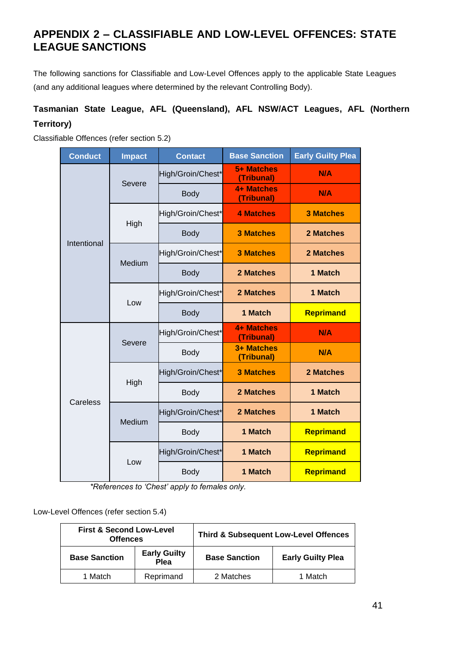# **APPENDIX 2 – CLASSIFIABLE AND LOW-LEVEL OFFENCES: STATE LEAGUE SANCTIONS**

The following sanctions for Classifiable and Low-Level Offences apply to the applicable State Leagues (and any additional leagues where determined by the relevant Controlling Body).

# **Tasmanian State League, AFL (Queensland), AFL NSW/ACT Leagues, AFL (Northern Territory)**

Classifiable Offences (refer section [5.2\)](#page-21-1)

| <b>Conduct</b> | <b>Impact</b> | <b>Contact</b>    | <b>Base Sanction</b>            | <b>Early Guilty Plea</b> |
|----------------|---------------|-------------------|---------------------------------|--------------------------|
|                | Severe        | High/Groin/Chest* | 5+ Matches<br>(Tribunal)        | N/A                      |
|                |               | <b>Body</b>       | 4+ Matches<br>(Tribunal)        | N/A                      |
|                |               | High/Groin/Chest* | <b>4 Matches</b>                | <b>3 Matches</b>         |
| Intentional    | High          | <b>Body</b>       | <b>3 Matches</b>                | 2 Matches                |
|                | Medium        | High/Groin/Chest* | <b>3 Matches</b>                | 2 Matches                |
|                |               | <b>Body</b>       | 2 Matches                       | 1 Match                  |
|                | Low           | High/Groin/Chest* | 2 Matches                       | 1 Match                  |
|                |               | <b>Body</b>       | 1 Match                         | Reprimand                |
|                | Severe        | High/Groin/Chest* | <b>4+ Matches</b><br>(Tribunal) | <b>N/A</b>               |
|                |               | <b>Body</b>       | 3+ Matches<br>(Tribunal)        | N/A                      |
|                |               | High/Groin/Chest* | <b>3 Matches</b>                | 2 Matches                |
| Careless       | High          | <b>Body</b>       | 2 Matches                       | 1 Match                  |
|                | Medium        | High/Groin/Chest* | 2 Matches                       | 1 Match                  |
|                |               | Body              | 1 Match                         | Reprimand                |
|                |               | High/Groin/Chest* | 1 Match                         | Reprimand                |
|                | Low           | <b>Body</b>       | 1 Match                         | Reprimand                |

*\*References to 'Chest' apply to females only.*

Low-Level Offences (refer section [5.4\)](#page-27-0)

| <b>First &amp; Second Low-Level</b><br><b>Offences</b> |                             |                      | <b>Third &amp; Subsequent Low-Level Offences</b> |
|--------------------------------------------------------|-----------------------------|----------------------|--------------------------------------------------|
| <b>Base Sanction</b>                                   | <b>Early Guilty</b><br>Plea | <b>Base Sanction</b> | <b>Early Guilty Plea</b>                         |
| 1 Match                                                | Reprimand                   | 2 Matches            | 1 Match                                          |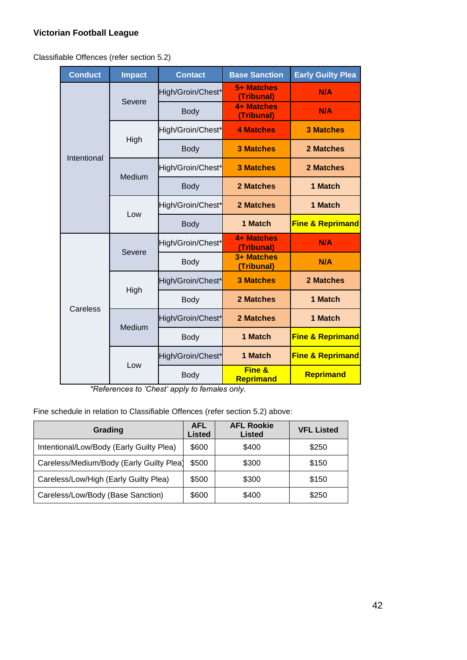# **Victorian Football League**

Classifiable Offences (refer section [5.2\)](#page-21-1)

| <b>Conduct</b> | <b>Impact</b> | <b>Contact</b>    | <b>Base Sanction</b>            | <b>Early Guilty Plea</b>    |
|----------------|---------------|-------------------|---------------------------------|-----------------------------|
|                |               | High/Groin/Chest* | 5+ Matches<br>(Tribunal)        | N/A                         |
|                | Severe        | <b>Body</b>       | <b>4+ Matches</b><br>(Tribunal) | N/A                         |
|                |               | High/Groin/Chest* | <b>4 Matches</b>                | <b>3 Matches</b>            |
| Intentional    | High          | <b>Body</b>       | <b>3 Matches</b>                | 2 Matches                   |
|                | Medium        | High/Groin/Chest* | <b>3 Matches</b>                | 2 Matches                   |
|                |               | <b>Body</b>       | 2 Matches                       | 1 Match                     |
|                | Low           | High/Groin/Chest* | 2 Matches                       | 1 Match                     |
|                |               | <b>Body</b>       | 1 Match                         | <b>Fine &amp; Reprimand</b> |
|                | Severe        | High/Groin/Chest* | 4+ Matches<br>(Tribunal)        | N/A                         |
|                |               | Body              | 3+ Matches<br>(Tribunal)        | N/A                         |
|                | High          | High/Groin/Chest* | <b>3 Matches</b>                | 2 Matches                   |
| Careless       |               | Body              | 2 Matches                       | 1 Match                     |
|                | Medium        | High/Groin/Chest* | 2 Matches                       | 1 Match                     |
|                |               | Body              | 1 Match                         | <b>Fine &amp; Reprimand</b> |
|                | Low           | High/Groin/Chest* | 1 Match                         | <b>Fine &amp; Reprimand</b> |
|                |               | <b>Body</b>       | Fine &<br>Reprimand             | Reprimand                   |

*\*References to 'Chest' apply to females only.*

Fine schedule in relation to Classifiable Offences (refer section [5.2\)](#page-21-1) above:

| Grading                                  | <b>AFL</b><br><b>Listed</b> | <b>AFL Rookie</b><br><b>Listed</b> | <b>VFL Listed</b> |
|------------------------------------------|-----------------------------|------------------------------------|-------------------|
| Intentional/Low/Body (Early Guilty Plea) | \$600                       | \$400                              | \$250             |
| Careless/Medium/Body (Early Guilty Plea) | \$500                       | \$300                              | \$150             |
| Careless/Low/High (Early Guilty Plea)    | \$500                       | \$300                              | \$150             |
| Careless/Low/Body (Base Sanction)        | \$600                       | \$400                              | \$250             |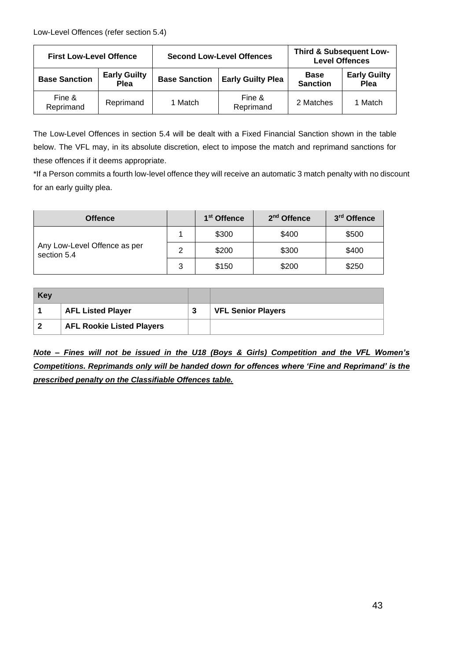| <b>First Low-Level Offence</b> |                             |                      | <b>Second Low-Level Offences</b> | <b>Third &amp; Subsequent Low-</b><br><b>Level Offences</b> |                             |
|--------------------------------|-----------------------------|----------------------|----------------------------------|-------------------------------------------------------------|-----------------------------|
| <b>Base Sanction</b>           | <b>Early Guilty</b><br>Plea | <b>Base Sanction</b> | <b>Early Guilty Plea</b>         | <b>Base</b><br><b>Sanction</b>                              | <b>Early Guilty</b><br>Plea |
| Fine &<br>Reprimand            | Reprimand                   | 1 Match              | Fine &<br>Reprimand              | 2 Matches                                                   | 1 Match                     |

The Low-Level Offences in section [5.4](#page-27-0) will be dealt with a Fixed Financial Sanction shown in the table below. The VFL may, in its absolute discretion, elect to impose the match and reprimand sanctions for these offences if it deems appropriate.

\*If a Person commits a fourth low-level offence they will receive an automatic 3 match penalty with no discount for an early guilty plea.

| <b>Offence</b>                              |   | 1 <sup>st</sup> Offence | 2 <sup>nd</sup> Offence | 3 <sup>rd</sup> Offence |
|---------------------------------------------|---|-------------------------|-------------------------|-------------------------|
|                                             |   | \$300                   | \$400                   | \$500                   |
| Any Low-Level Offence as per<br>section 5.4 | 2 | \$200                   | \$300                   | \$400                   |
|                                             | 3 | \$150                   | \$200                   | \$250                   |

| <b>Key</b>              |                                  |   |                           |
|-------------------------|----------------------------------|---|---------------------------|
|                         | <b>AFL Listed Player</b>         | 3 | <b>VFL Senior Players</b> |
| $\overline{\mathbf{2}}$ | <b>AFL Rookie Listed Players</b> |   |                           |

*Note – Fines will not be issued in the U18 (Boys & Girls) Competition and the VFL Women's Competitions. Reprimands only will be handed down for offences where 'Fine and Reprimand' is the prescribed penalty on the Classifiable Offences table.*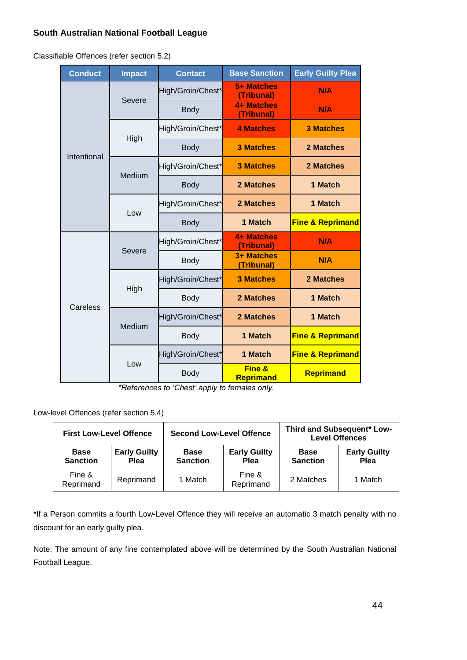# **South Australian National Football League**

Classifiable Offences (refer section [5.2\)](#page-21-1)

| <b>Conduct</b> | <b>Impact</b> | <b>Contact</b>    | <b>Base Sanction</b>     | <b>Early Guilty Plea</b>    |
|----------------|---------------|-------------------|--------------------------|-----------------------------|
|                |               | High/Groin/Chest* | 5+ Matches<br>(Tribunal) | N/A                         |
|                | Severe        | <b>Body</b>       | 4+ Matches<br>(Tribunal) | N/A                         |
|                |               | High/Groin/Chest* | <b>4 Matches</b>         | <b>3 Matches</b>            |
| Intentional    | High          | <b>Body</b>       | <b>3 Matches</b>         | 2 Matches                   |
|                | Medium        | High/Groin/Chest* | <b>3 Matches</b>         | 2 Matches                   |
|                |               | <b>Body</b>       | 2 Matches                | 1 Match                     |
|                |               | High/Groin/Chest* | 2 Matches                | 1 Match                     |
|                | Low           | <b>Body</b>       | 1 Match                  | <b>Fine &amp; Reprimand</b> |
|                | Severe        | High/Groin/Chest* | 4+ Matches<br>(Tribunal) | N/A                         |
|                |               | <b>Body</b>       | 3+ Matches<br>(Tribunal) | N/A                         |
|                | High          | High/Groin/Chest* | <b>3 Matches</b>         | 2 Matches                   |
| Careless       |               | <b>Body</b>       | 2 Matches                | 1 Match                     |
|                | Medium        | High/Groin/Chest* | 2 Matches                | 1 Match                     |
|                |               | <b>Body</b>       | 1 Match                  | <b>Fine &amp; Reprimand</b> |
|                | Low           | High/Groin/Chest* | 1 Match                  | <b>Fine &amp; Reprimand</b> |
|                |               | <b>Body</b>       | Fine &<br>Reprimand      | Reprimand                   |

*\*References to 'Chest' apply to females only.*

Low-level Offences (refer section [5.4\)](#page-27-0)

| <b>First Low-Level Offence</b> |                             |                                | <b>Second Low-Level Offence</b>    |                                | Third and Subsequent* Low-<br><b>Level Offences</b> |  |
|--------------------------------|-----------------------------|--------------------------------|------------------------------------|--------------------------------|-----------------------------------------------------|--|
| <b>Base</b><br><b>Sanction</b> | <b>Early Guilty</b><br>Plea | <b>Base</b><br><b>Sanction</b> | <b>Early Guilty</b><br><b>Plea</b> | <b>Base</b><br><b>Sanction</b> | <b>Early Guilty</b><br>Plea                         |  |
| Fine &<br>Reprimand            | Reprimand                   | 1 Match                        | Fine &<br>Reprimand                | 2 Matches                      | 1 Match                                             |  |

\*If a Person commits a fourth Low-Level Offence they will receive an automatic 3 match penalty with no discount for an early guilty plea.

Note: The amount of any fine contemplated above will be determined by the South Australian National Football League.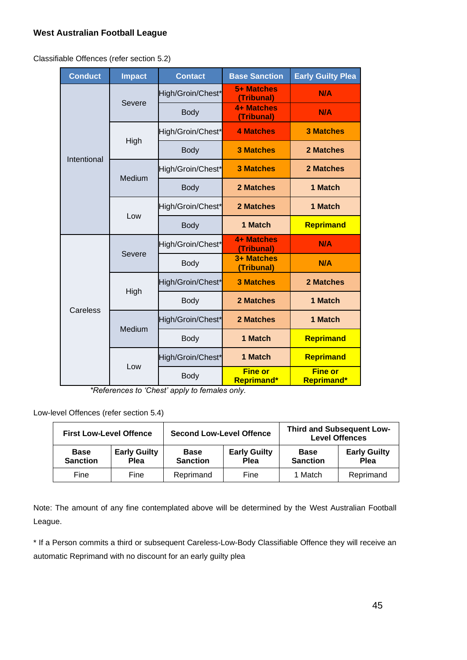# **West Australian Football League**

Classifiable Offences (refer section [5.2\)](#page-21-1)

| <b>Conduct</b> | <b>Impact</b> | <b>Contact</b>    | <b>Base Sanction</b>                | <b>Early Guilty Plea</b>            |
|----------------|---------------|-------------------|-------------------------------------|-------------------------------------|
|                |               | High/Groin/Chest* | 5+ Matches<br>(Tribunal)            | N/A                                 |
|                | Severe        | <b>Body</b>       | <b>4+ Matches</b><br>(Tribunal)     | N/A                                 |
|                |               | High/Groin/Chest* | <b>4 Matches</b>                    | <b>3 Matches</b>                    |
| Intentional    | High          | <b>Body</b>       | <b>3 Matches</b>                    | 2 Matches                           |
|                | Medium        | High/Groin/Chest* | <b>3 Matches</b>                    | 2 Matches                           |
|                |               | <b>Body</b>       | 2 Matches                           | 1 Match                             |
|                |               | High/Groin/Chest* | 2 Matches                           | 1 Match                             |
|                | Low           | <b>Body</b>       | 1 Match                             | Reprimand                           |
|                | Severe        | High/Groin/Chest* | <b>4+ Matches</b><br>(Tribunal)     | <b>N/A</b>                          |
|                |               | <b>Body</b>       | 3+ Matches<br>(Tribunal)            | N/A                                 |
|                | High          | High/Groin/Chest* | <b>3 Matches</b>                    | 2 Matches                           |
|                |               | <b>Body</b>       | <b>2 Matches</b>                    | 1 Match                             |
| Careless       | Medium        | High/Groin/Chest* | <b>2 Matches</b>                    | 1 Match                             |
|                |               | <b>Body</b>       | 1 Match                             | Reprimand                           |
|                |               | High/Groin/Chest* | 1 Match                             | Reprimand                           |
|                | Low           | <b>Body</b>       | <b>Fine or</b><br><b>Reprimand*</b> | <b>Fine or</b><br><b>Reprimand*</b> |

*\*References to 'Chest' apply to females only.*

Low-level Offences (refer section [5.4\)](#page-27-0)

|                                | <b>Second Low-Level Offence</b><br><b>First Low-Level Offence</b> |                                |                                    |                                | <b>Third and Subsequent Low-</b><br><b>Level Offences</b> |
|--------------------------------|-------------------------------------------------------------------|--------------------------------|------------------------------------|--------------------------------|-----------------------------------------------------------|
| <b>Base</b><br><b>Sanction</b> | <b>Early Guilty</b><br><b>Plea</b>                                | <b>Base</b><br><b>Sanction</b> | <b>Early Guilty</b><br><b>Plea</b> | <b>Base</b><br><b>Sanction</b> | <b>Early Guilty</b><br><b>Plea</b>                        |
| Fine                           | Fine                                                              | Reprimand                      | Fine                               | 1 Match                        | Reprimand                                                 |

Note: The amount of any fine contemplated above will be determined by the West Australian Football League.

\* If a Person commits a third or subsequent Careless-Low-Body Classifiable Offence they will receive an automatic Reprimand with no discount for an early guilty plea